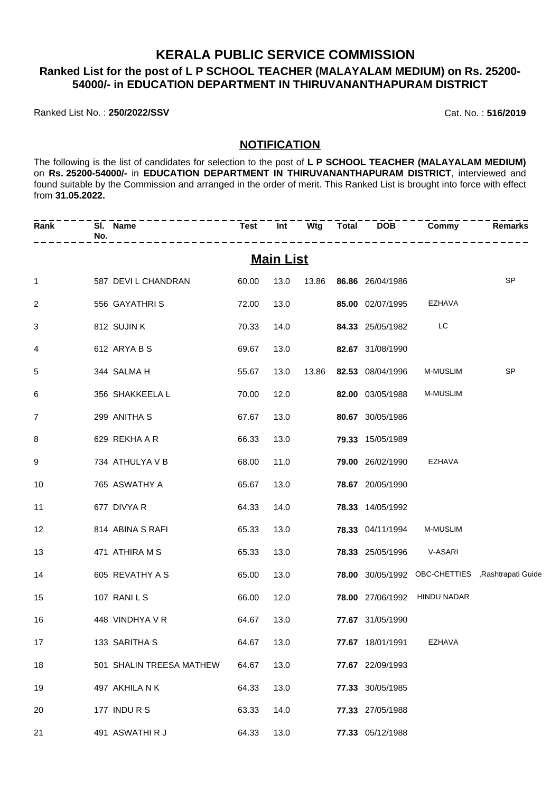### **KERALA PUBLIC SERVICE COMMISSION Ranked List for the post of L P SCHOOL TEACHER (MALAYALAM MEDIUM) on Rs. 25200- 54000/- in EDUCATION DEPARTMENT IN THIRUVANANTHAPURAM DISTRICT**

Ranked List No. : **250/2022/SSV** Cat. No. : **516/2019**

### **NOTIFICATION**

The following is the list of candidates for selection to the post of **L P SCHOOL TEACHER (MALAYALAM MEDIUM)** on **Rs. 25200-54000/-** in **EDUCATION DEPARTMENT IN THIRUVANANTHAPURAM DISTRICT**, interviewed and found suitable by the Commission and arranged in the order of merit. This Ranked List is brought into force with effect from **31.05.2022.**

| Rank           | SI. Name<br>No.          | Test  |                  |  |                          | <u>Int Wtg Total DOB Commy</u> | <b>Remarks</b>                                    |
|----------------|--------------------------|-------|------------------|--|--------------------------|--------------------------------|---------------------------------------------------|
|                |                          |       | <b>Main List</b> |  |                          |                                |                                                   |
| $\mathbf{1}$   | 587 DEVI L CHANDRAN      | 60.00 | 13.0             |  | 13.86 86.86 26/04/1986   |                                | <b>SP</b>                                         |
| $\overline{2}$ | 556 GAYATHRIS            | 72.00 | 13.0             |  | 85.00 02/07/1995 EZHAVA  |                                |                                                   |
| 3              | 812 SUJIN K              | 70.33 | 14.0             |  | 84.33 25/05/1982         | <b>Example LC</b>              |                                                   |
| 4              | 612 ARYA B S             | 69.67 | 13.0             |  | 82.67 31/08/1990         |                                |                                                   |
| 5              | 344 SALMA H              | 55.67 | 13.0             |  | 13.86 82.53 08/04/1996   | M-MUSLIM                       | <b>SP</b>                                         |
| 6              | 356 SHAKKEELA L          | 70.00 | 12.0             |  | <b>82.00</b> 03/05/1988  | <b>M-MUSLIM</b>                |                                                   |
| 7              | 299 ANITHA S             | 67.67 | 13.0             |  | 80.67 30/05/1986         |                                |                                                   |
| 8              | 629 REKHA A R            | 66.33 | 13.0             |  | <b>79.33</b> 15/05/1989  |                                |                                                   |
| 9              | 734 ATHULYA V B          | 68.00 | 11.0             |  | 79.00 26/02/1990 EZHAVA  |                                |                                                   |
| 10             | 765 ASWATHY A            | 65.67 | 13.0             |  | <b>78.67</b> 20/05/1990  |                                |                                                   |
| 11             | 677 DIVYA R              | 64.33 | 14.0             |  | 78.33 14/05/1992         |                                |                                                   |
| 12             | 814 ABINA S RAFI         | 65.33 | 13.0             |  | <b>78.33</b> 04/11/1994  | <b>M-MUSLIM</b>                |                                                   |
| 13             | 471 ATHIRA M S           | 65.33 | 13.0             |  | 78.33 25/05/1996 V-ASARI |                                |                                                   |
| 14             | 605 REVATHY A S          | 65.00 | 13.0             |  |                          |                                | 78.00 30/05/1992 OBC-CHETTIES , Rashtrapati Guide |
| 15             | 107 RANILS               | 66.00 | 12.0             |  |                          | 78.00 27/06/1992 HINDU NADAR   |                                                   |
| 16             | 448 VINDHYA V R          | 64.67 | 13.0             |  | 77.67 31/05/1990         |                                |                                                   |
| 17             | 133 SARITHA S            | 64.67 | 13.0             |  | 77.67 18/01/1991         | EZHAVA                         |                                                   |
| 18             | 501 SHALIN TREESA MATHEW | 64.67 | 13.0             |  | 77.67 22/09/1993         |                                |                                                   |
| 19             | 497 AKHILA N K           | 64.33 | 13.0             |  | 77.33 30/05/1985         |                                |                                                   |
| 20             | 177 INDURS               | 63.33 | 14.0             |  | 77.33 27/05/1988         |                                |                                                   |
| 21             | 491 ASWATHIR J           | 64.33 | 13.0             |  | 77.33 05/12/1988         |                                |                                                   |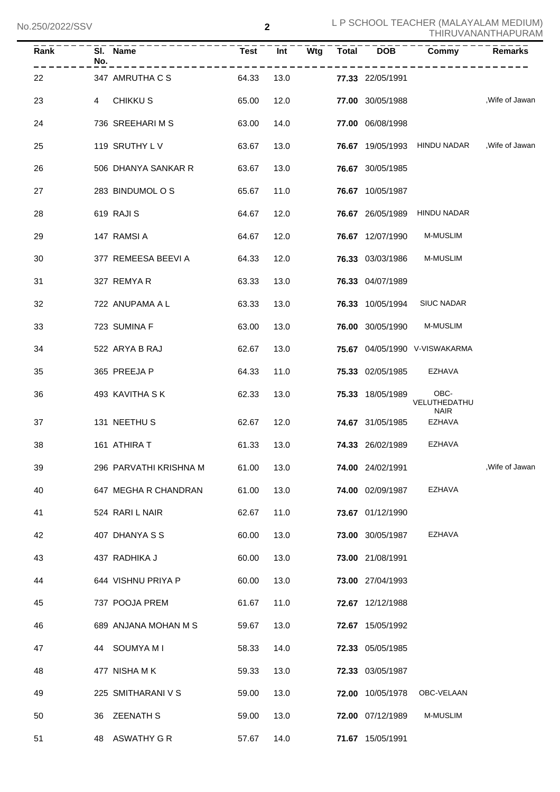| $\overline{R}$ ank | SI. Name<br>No.            | Test  | $\overline{Int}$ |  | $Wtg$ Total DOB         | Commy                                        | <b>Remarks</b>  |
|--------------------|----------------------------|-------|------------------|--|-------------------------|----------------------------------------------|-----------------|
| 22                 | 347 AMRUTHA C S            | 64.33 | 13.0             |  | 77.33 22/05/1991        |                                              |                 |
| 23                 | CHIKKU S<br>$\overline{4}$ | 65.00 | 12.0             |  | 77.00 30/05/1988        |                                              | , Wife of Jawan |
| 24                 | 736 SREEHARIMS             | 63.00 | 14.0             |  | 77.00 06/08/1998        |                                              |                 |
| 25                 | 119 SRUTHY LV              | 63.67 | 13.0             |  |                         | 76.67 19/05/1993 HINDU NADAR , Wife of Jawan |                 |
| 26                 | 506 DHANYA SANKAR R        | 63.67 | 13.0             |  | 76.67 30/05/1985        |                                              |                 |
| 27                 | 283 BINDUMOL O S           | 65.67 | 11.0             |  | 76.67 10/05/1987        |                                              |                 |
| 28                 | 619 RAJI S                 | 64.67 | 12.0             |  |                         | 76.67 26/05/1989 HINDU NADAR                 |                 |
| 29                 | 147 RAMSI A                | 64.67 | 12.0             |  | 76.67 12/07/1990        | <b>M-MUSLIM</b>                              |                 |
| 30                 | 377 REMEESA BEEVI A        | 64.33 | 12.0             |  | 76.33 03/03/1986        | <b>M-MUSLIM</b>                              |                 |
| 31                 | 327 REMYAR                 | 63.33 | 13.0             |  | 76.33 04/07/1989        |                                              |                 |
| 32                 | 722 ANUPAMA A L            | 63.33 | 13.0             |  | 76.33 10/05/1994        | <b>SIUC NADAR</b>                            |                 |
| 33                 | 723 SUMINA F               | 63.00 | 13.0             |  | 76.00 30/05/1990        | M-MUSLIM                                     |                 |
| 34                 | 522 ARYA B RAJ             | 62.67 | 13.0             |  |                         | 75.67 04/05/1990 V-VISWAKARMA                |                 |
| 35                 | 365 PREEJA P               | 64.33 | 11.0             |  | <b>75.33</b> 02/05/1985 | EZHAVA                                       |                 |
| 36                 | 493 KAVITHA S K            | 62.33 | 13.0             |  | 75.33 18/05/1989        | OBC-<br>VELUTHEDATHU                         |                 |
| 37                 | 131 NEETHUS                | 62.67 | 12.0             |  | 74.67 31/05/1985        | <b>NAIR</b><br>EZHAVA                        |                 |
| 38                 | 161 ATHIRA T               | 61.33 | 13.0             |  | 74.33 26/02/1989        | <b>EZHAVA</b>                                |                 |
| 39                 | 296 PARVATHI KRISHNA M     | 61.00 | 13.0             |  | 74.00 24/02/1991        |                                              | , Wife of Jawan |
| 40                 | 647 MEGHA R CHANDRAN       | 61.00 | 13.0             |  | 74.00 02/09/1987        | <b>EZHAVA</b>                                |                 |
| 41                 | 524 RARI L NAIR            | 62.67 | 11.0             |  | 73.67 01/12/1990        |                                              |                 |
| 42                 | 407 DHANYA S S             | 60.00 | 13.0             |  | 73.00 30/05/1987        | <b>EZHAVA</b>                                |                 |
| 43                 | 437 RADHIKA J              | 60.00 | 13.0             |  | 73.00 21/08/1991        |                                              |                 |
| 44                 | 644 VISHNU PRIYA P         | 60.00 | 13.0             |  | 73.00 27/04/1993        |                                              |                 |
| 45                 | 737 POOJA PREM             | 61.67 | 11.0             |  | 72.67 12/12/1988        |                                              |                 |
| 46                 | 689 ANJANA MOHAN M S       | 59.67 | 13.0             |  | 72.67 15/05/1992        |                                              |                 |
| 47                 | 44 SOUMYA M I              | 58.33 | 14.0             |  | 72.33 05/05/1985        |                                              |                 |
| 48                 | 477 NISHA MK               | 59.33 | 13.0             |  | 72.33 03/05/1987        |                                              |                 |
| 49                 | 225 SMITHARANI V S         | 59.00 | 13.0             |  | 72.00 10/05/1978        | OBC-VELAAN                                   |                 |
| 50                 | <b>ZEENATH S</b><br>36     | 59.00 | 13.0             |  | 72.00 07/12/1989        | <b>M-MUSLIM</b>                              |                 |
| 51                 | 48 ASWATHY G R             | 57.67 | 14.0             |  | 71.67 15/05/1991        |                                              |                 |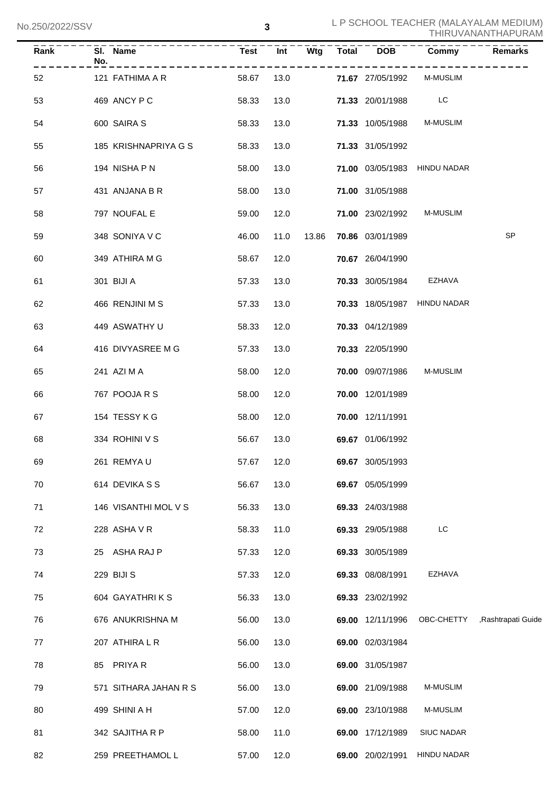| Rank | No. | SI. Name              | <b>Test</b> | Int  | Wtg   | Total DOB               | Commy                        | <b>Remarks</b>                 |
|------|-----|-----------------------|-------------|------|-------|-------------------------|------------------------------|--------------------------------|
| 52   |     | 121 FATHIMA A R       | 58.67       | 13.0 |       | 71.67 27/05/1992        | <b>M-MUSLIM</b>              |                                |
| 53   |     | 469 ANCY P C          | 58.33       | 13.0 |       | 71.33 20/01/1988 LC     |                              |                                |
| 54   |     | 600 SAIRA S           | 58.33       | 13.0 |       | 71.33 10/05/1988        | <b>M-MUSLIM</b>              |                                |
| 55   |     | 185 KRISHNAPRIYA G S  | 58.33       | 13.0 |       | 71.33 31/05/1992        |                              |                                |
| 56   |     | 194 NISHA P N         | 58.00       | 13.0 |       |                         | 71.00 03/05/1983 HINDU NADAR |                                |
| 57   |     | 431 ANJANA B R        | 58.00       | 13.0 |       | 71.00 31/05/1988        |                              |                                |
| 58   |     | 797 NOUFAL E          | 59.00       | 12.0 |       |                         | 71.00 23/02/1992 M-MUSLIM    |                                |
| 59   |     | 348 SONIYA V C        | 46.00       | 11.0 | 13.86 | 70.86 03/01/1989        |                              | SP                             |
| 60   |     | 349 ATHIRA M G        | 58.67       | 12.0 |       | 70.67 26/04/1990        |                              |                                |
| 61   |     | 301 BIJI A            | 57.33       | 13.0 |       | 70.33 30/05/1984 EZHAVA |                              |                                |
| 62   |     | 466 RENJINI M S       | 57.33       | 13.0 |       |                         | 70.33 18/05/1987 HINDU NADAR |                                |
| 63   |     | 449 ASWATHY U         | 58.33       | 12.0 |       | 70.33 04/12/1989        |                              |                                |
| 64   |     | 416 DIVYASREE M G     | 57.33       | 13.0 |       | 70.33 22/05/1990        |                              |                                |
| 65   |     | 241 AZI M A           | 58.00       | 12.0 |       | <b>70.00</b> 09/07/1986 | <b>M-MUSLIM</b>              |                                |
| 66   |     | 767 POOJA R S         | 58.00       | 12.0 |       | 70.00 12/01/1989        |                              |                                |
| 67   |     | 154 TESSY K G         | 58.00       | 12.0 |       | 70.00 12/11/1991        |                              |                                |
| 68   |     | 334 ROHINI V S        | 56.67       | 13.0 |       | 69.67 01/06/1992        |                              |                                |
| 69   |     | 261 REMYAU            | 57.67       | 12.0 |       | 69.67 30/05/1993        |                              |                                |
| 70   |     | 614 DEVIKA S S        | 56.67       | 13.0 |       | 69.67 05/05/1999        |                              |                                |
| 71   |     | 146 VISANTHI MOL V S  | 56.33       | 13.0 |       | 69.33 24/03/1988        |                              |                                |
| 72   |     | 228 ASHA V R          | 58.33       | 11.0 |       | 69.33 29/05/1988        | LC                           |                                |
| 73   |     | 25 ASHA RAJ P         | 57.33       | 12.0 |       | 69.33 30/05/1989        |                              |                                |
| 74   |     | 229 BIJI S            | 57.33       | 12.0 |       | 69.33 08/08/1991        | EZHAVA                       |                                |
| 75   |     | 604 GAYATHRIKS        | 56.33       | 13.0 |       | 69.33 23/02/1992        |                              |                                |
| 76   |     | 676 ANUKRISHNA M      | 56.00       | 13.0 |       | <b>69.00</b> 12/11/1996 |                              | OBC-CHETTY , Rashtrapati Guide |
| 77   |     | 207 ATHIRA L R        | 56.00       | 13.0 |       | 69.00 02/03/1984        |                              |                                |
| 78   |     | 85 PRIYAR             | 56.00       | 13.0 |       | 69.00 31/05/1987        |                              |                                |
| 79   |     | 571 SITHARA JAHAN R S | 56.00       | 13.0 |       | 69.00 21/09/1988        | M-MUSLIM                     |                                |
| 80   |     | 499 SHINI A H         | 57.00       | 12.0 |       | 69.00 23/10/1988        | M-MUSLIM                     |                                |
| 81   |     | 342 SAJITHA R P       | 58.00       | 11.0 |       | 69.00 17/12/1989        | <b>SIUC NADAR</b>            |                                |
| 82   |     | 259 PREETHAMOL L      | 57.00       | 12.0 |       | 69.00 20/02/1991        | HINDU NADAR                  |                                |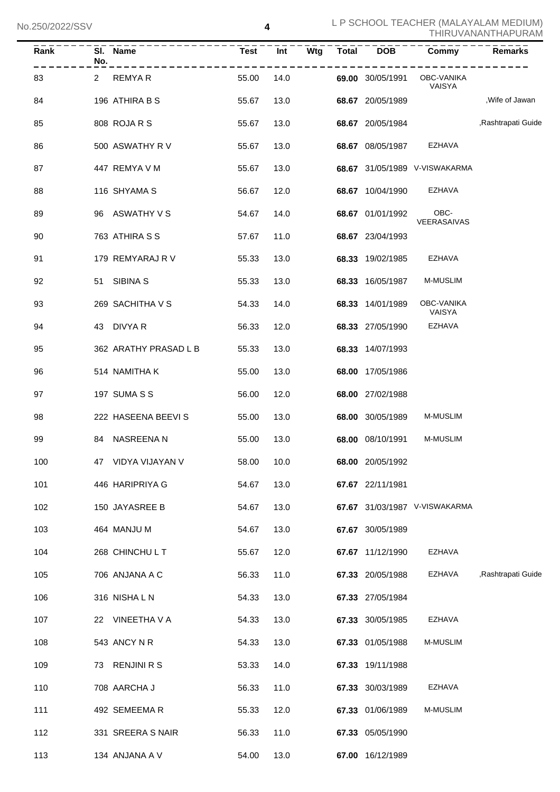| Rank | No. | SI. Name              | Test  | <b>Int</b> | <b>Wtg</b> |                         | Total DOB Commy               | <b>Remarks</b>     |
|------|-----|-----------------------|-------|------------|------------|-------------------------|-------------------------------|--------------------|
| 83   |     | 2 REMYAR              | 55.00 | 14.0       |            | 69.00 30/05/1991        | OBC-VANIKA<br>VAISYA          |                    |
| 84   |     | 196 ATHIRA B S        | 55.67 | 13.0       |            | 68.67 20/05/1989        |                               | ,Wife of Jawan     |
| 85   |     | 808 ROJA R S          | 55.67 | 13.0       |            | 68.67 20/05/1984        |                               | ,Rashtrapati Guide |
| 86   |     | 500 ASWATHY R V       | 55.67 | 13.0       |            | 68.67 08/05/1987        | EZHAVA                        |                    |
| 87   |     | 447 REMYA V M         | 55.67 | 13.0       |            |                         | 68.67 31/05/1989 V-VISWAKARMA |                    |
| 88   |     | 116 SHYAMA S          | 56.67 | 12.0       |            | <b>68.67</b> 10/04/1990 | EZHAVA                        |                    |
| 89   |     | 96 ASWATHY V S        | 54.67 | 14.0       |            | 68.67 01/01/1992        | OBC-<br>VEERASAIVAS           |                    |
| 90   |     | 763 ATHIRA S S        | 57.67 | 11.0       |            | 68.67 23/04/1993        |                               |                    |
| 91   |     | 179 REMYARAJ R V      | 55.33 | 13.0       |            | 68.33 19/02/1985        | EZHAVA                        |                    |
| 92   |     | 51 SIBINA S           | 55.33 | 13.0       |            | 68.33 16/05/1987        | <b>M-MUSLIM</b>               |                    |
| 93   |     | 269 SACHITHA V S      | 54.33 | 14.0       |            | 68.33 14/01/1989        | OBC-VANIKA<br>VAISYA          |                    |
| 94   |     | 43 DIVYA R            | 56.33 | 12.0       |            | 68.33 27/05/1990        | EZHAVA                        |                    |
| 95   |     | 362 ARATHY PRASAD L B | 55.33 | 13.0       |            | 68.33 14/07/1993        |                               |                    |
| 96   |     | 514 NAMITHA K         | 55.00 | 13.0       |            | 68.00 17/05/1986        |                               |                    |
| 97   |     | <b>197 SUMA S S</b>   | 56.00 | 12.0       |            | 68.00 27/02/1988        |                               |                    |
| 98   |     | 222 HASEENA BEEVIS    | 55.00 | 13.0       |            | 68.00 30/05/1989        | M-MUSLIM                      |                    |
| 99   |     | 84 NASREENA N         | 55.00 | 13.0       |            | 68.00 08/10/1991        | M-MUSLIM                      |                    |
| 100  |     | 47 VIDYA VIJAYAN V    | 58.00 | 10.0       |            | 68.00 20/05/1992        |                               |                    |
| 101  |     | 446 HARIPRIYA G       | 54.67 | 13.0       |            | 67.67 22/11/1981        |                               |                    |
| 102  |     | 150 JAYASREE B        | 54.67 | 13.0       |            |                         | 67.67 31/03/1987 V-VISWAKARMA |                    |
| 103  |     | 464 MANJU M           | 54.67 | 13.0       |            | 67.67 30/05/1989        |                               |                    |
| 104  |     | 268 CHINCHU L T       | 55.67 | 12.0       |            | 67.67 11/12/1990        | <b>EZHAVA</b>                 |                    |
| 105  |     | 706 ANJANA A C        | 56.33 | 11.0       |            | 67.33 20/05/1988        | <b>EZHAVA</b>                 | ,Rashtrapati Guide |
| 106  |     | 316 NISHALN           | 54.33 | 13.0       |            | 67.33 27/05/1984        |                               |                    |
| 107  |     | 22 VINEETHA V A       | 54.33 | 13.0       |            | 67.33 30/05/1985        | <b>EZHAVA</b>                 |                    |
| 108  |     | 543 ANCY N R          | 54.33 | 13.0       |            | 67.33 01/05/1988        | M-MUSLIM                      |                    |
| 109  | 73  | <b>RENJINI R S</b>    | 53.33 | 14.0       |            | 67.33 19/11/1988        |                               |                    |
| 110  |     | 708 AARCHA J          | 56.33 | 11.0       |            | 67.33 30/03/1989        | <b>EZHAVA</b>                 |                    |
| 111  |     | 492 SEMEEMAR          | 55.33 | 12.0       |            | 67.33 01/06/1989        | M-MUSLIM                      |                    |
| 112  |     | 331 SREERA S NAIR     | 56.33 | 11.0       |            | 67.33 05/05/1990        |                               |                    |
| 113  |     | 134 ANJANA A V        | 54.00 | 13.0       |            | 67.00 16/12/1989        |                               |                    |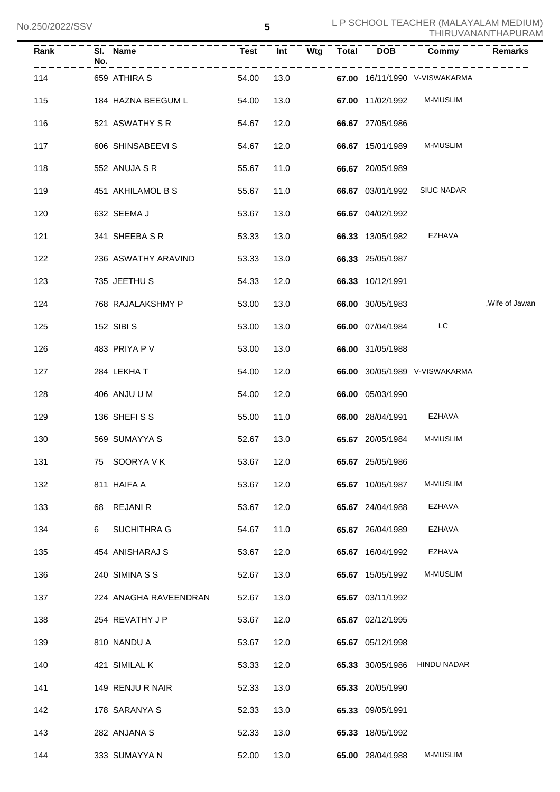| Rank | SI. Name<br>No.            | Test Int   |      | Wtg | Total DOB        | <b>Commy</b>                  | Remarks         |
|------|----------------------------|------------|------|-----|------------------|-------------------------------|-----------------|
| 114  | . <u>.</u><br>659 ATHIRA S | 54.00      | 13.0 |     |                  | 67.00 16/11/1990 V-VISWAKARMA |                 |
| 115  | 184 HAZNA BEEGUM L         | 54.00      | 13.0 |     | 67.00 11/02/1992 | <b>M-MUSLIM</b>               |                 |
| 116  | 521 ASWATHY S R            | 54.67      | 12.0 |     | 66.67 27/05/1986 |                               |                 |
| 117  | 606 SHINSABEEVI S          | 54.67      | 12.0 |     | 66.67 15/01/1989 | <b>M-MUSLIM</b>               |                 |
| 118  | 552 ANUJA S R              | 55.67      | 11.0 |     | 66.67 20/05/1989 |                               |                 |
| 119  | 451 AKHILAMOL B S          | 55.67      | 11.0 |     | 66.67 03/01/1992 | <b>SIUC NADAR</b>             |                 |
| 120  | 632 SEEMA J                | 53.67      | 13.0 |     | 66.67 04/02/1992 |                               |                 |
| 121  | 341 SHEEBA S R             | 53.33      | 13.0 |     | 66.33 13/05/1982 | EZHAVA                        |                 |
| 122  | 236 ASWATHY ARAVIND        | 53.33      | 13.0 |     | 66.33 25/05/1987 |                               |                 |
| 123  | 735 JEETHU S               | 54.33      | 12.0 |     | 66.33 10/12/1991 |                               |                 |
| 124  | 768 RAJALAKSHMY P          | 53.00      | 13.0 |     | 66.00 30/05/1983 |                               | , Wife of Jawan |
| 125  | 152 SIBI S                 | 53.00      | 13.0 |     | 66.00 07/04/1984 | LC                            |                 |
| 126  | 483 PRIYA P V              | 53.00      | 13.0 |     | 66.00 31/05/1988 |                               |                 |
| 127  | 284 LEKHAT                 | 54.00      | 12.0 |     |                  | 66.00 30/05/1989 V-VISWAKARMA |                 |
| 128  | 406 ANJU U M               | 54.00      | 12.0 |     | 66.00 05/03/1990 |                               |                 |
| 129  | 136 SHEFISS                | 55.00      | 11.0 |     | 66.00 28/04/1991 | EZHAVA                        |                 |
| 130  | 569 SUMAYYA S              | 52.67      | 13.0 |     | 65.67 20/05/1984 | <b>M-MUSLIM</b>               |                 |
| 131  | 75 SOORYA V K              | 53.67 12.0 |      |     | 65.67 25/05/1986 |                               |                 |
| 132  | 811 HAIFA A                | 53.67      | 12.0 |     | 65.67 10/05/1987 | M-MUSLIM                      |                 |
| 133  | 68 REJANI R                | 53.67      | 12.0 |     | 65.67 24/04/1988 | EZHAVA                        |                 |
| 134  | <b>SUCHITHRA G</b><br>6    | 54.67      | 11.0 |     | 65.67 26/04/1989 | EZHAVA                        |                 |
| 135  | 454 ANISHARAJ S            | 53.67      | 12.0 |     | 65.67 16/04/1992 | EZHAVA                        |                 |
| 136  | 240 SIMINA S S             | 52.67      | 13.0 |     | 65.67 15/05/1992 | M-MUSLIM                      |                 |
| 137  | 224 ANAGHA RAVEENDRAN      | 52.67      | 13.0 |     | 65.67 03/11/1992 |                               |                 |
| 138  | 254 REVATHY J P            | 53.67      | 12.0 |     | 65.67 02/12/1995 |                               |                 |
| 139  | 810 NANDU A                | 53.67      | 12.0 |     | 65.67 05/12/1998 |                               |                 |
| 140  | 421 SIMILAL K              | 53.33      | 12.0 |     |                  | 65.33 30/05/1986 HINDU NADAR  |                 |
| 141  | 149 RENJU R NAIR           | 52.33      | 13.0 |     | 65.33 20/05/1990 |                               |                 |
| 142  | 178 SARANYA S              | 52.33      | 13.0 |     | 65.33 09/05/1991 |                               |                 |
| 143  | 282 ANJANA S               | 52.33      | 13.0 |     | 65.33 18/05/1992 |                               |                 |
| 144  | 333 SUMAYYA N              | 52.00      | 13.0 |     | 65.00 28/04/1988 | M-MUSLIM                      |                 |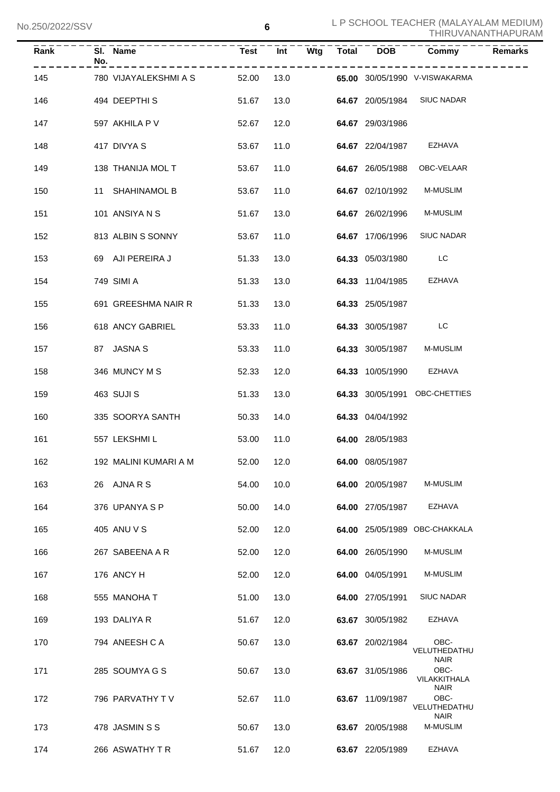| Rank | No. | SI. Name                    | <b>Test</b> | Int        |  | Wtg Total DOB       | Commy                               | <b>Remarks</b> |
|------|-----|-----------------------------|-------------|------------|--|---------------------|-------------------------------------|----------------|
| 145  |     | 780 VIJAYALEKSHMI A S 52.00 |             | 13.0       |  |                     | 65.00 30/05/1990 V-VISWAKARMA       |                |
| 146  |     | 494 DEEPTHIS                | 51.67       | 13.0       |  |                     | 64.67 20/05/1984 SIUC NADAR         |                |
| 147  |     | 597 AKHILA P V              | 52.67       | 12.0       |  | 64.67 29/03/1986    |                                     |                |
| 148  |     | 417 DIVYA S                 | 53.67       | 11.0       |  |                     | 64.67 22/04/1987 EZHAVA             |                |
| 149  |     | 138 THANIJA MOL T           | 53.67       | 11.0       |  | 64.67 26/05/1988    | OBC-VELAAR                          |                |
| 150  |     | 11 SHAHINAMOL B             | 53.67       | 11.0       |  | 64.67 02/10/1992    | <b>M-MUSLIM</b>                     |                |
| 151  |     | 101 ANSIYA N S              | 51.67       | 13.0       |  | 64.67 26/02/1996    | <b>M-MUSLIM</b>                     |                |
| 152  |     | 813 ALBIN S SONNY           | 53.67       | 11.0       |  | 64.67 17/06/1996    | <b>SIUC NADAR</b>                   |                |
| 153  |     | 69 AJI PEREIRA J            | 51.33       | 13.0       |  | 64.33 05/03/1980    | <b>Example 1</b>                    |                |
| 154  |     | 749 SIMI A                  | 51.33       | 13.0       |  | 64.33 11/04/1985    | EZHAVA                              |                |
| 155  |     | 691 GREESHMA NAIR R         | 51.33       | 13.0       |  | 64.33 25/05/1987    |                                     |                |
| 156  |     | 618 ANCY GABRIEL            | 53.33       | 11.0       |  | 64.33 30/05/1987 LC |                                     |                |
| 157  |     | 87 JASNA S                  | 53.33       | 11.0       |  | 64.33 30/05/1987    | <b>M-MUSLIM</b>                     |                |
| 158  |     | 346 MUNCY M S               | 52.33       | 12.0       |  | 64.33 10/05/1990    | EZHAVA                              |                |
| 159  |     | 463 SUJI S                  | 51.33       | 13.0       |  |                     | 64.33 30/05/1991 OBC-CHETTIES       |                |
| 160  |     | 335 SOORYA SANTH            | 50.33       | 14.0       |  | 64.33 04/04/1992    |                                     |                |
| 161  |     | 557 LEKSHMI L               | 53.00       | 11.0       |  | 64.00 28/05/1983    |                                     |                |
| 162  |     | 192 MALINI KUMARI A M       |             | 52.00 12.0 |  | 64.00 08/05/1987    |                                     |                |
| 163  |     | 26 AJNARS                   | 54.00       | 10.0       |  | 64.00 20/05/1987    | M-MUSLIM                            |                |
| 164  |     | 376 UPANYA S P              | 50.00       | 14.0       |  | 64.00 27/05/1987    | EZHAVA                              |                |
| 165  |     | 405 ANU V S                 | 52.00       | 12.0       |  |                     | 64.00 25/05/1989 OBC-CHAKKALA       |                |
| 166  |     | 267 SABEENA A R             | 52.00       | 12.0       |  | 64.00 26/05/1990    | M-MUSLIM                            |                |
| 167  |     | 176 ANCY H                  | 52.00       | 12.0       |  | 64.00 04/05/1991    | M-MUSLIM                            |                |
| 168  |     | 555 MANOHA T                | 51.00       | 13.0       |  | 64.00 27/05/1991    | <b>SIUC NADAR</b>                   |                |
| 169  |     | 193 DALIYA R                | 51.67       | 12.0       |  | 63.67 30/05/1982    | EZHAVA                              |                |
| 170  |     | 794 ANEESH C A              | 50.67       | 13.0       |  | 63.67 20/02/1984    | OBC-<br>VELUTHEDATHU<br><b>NAIR</b> |                |
| 171  |     | 285 SOUMYA G S              | 50.67       | 13.0       |  | 63.67 31/05/1986    | OBC-<br>VILAKKITHALA<br><b>NAIR</b> |                |
| 172  |     | 796 PARVATHY TV             | 52.67       | 11.0       |  | 63.67 11/09/1987    | OBC-<br>VELUTHEDATHU<br><b>NAIR</b> |                |
| 173  |     | 478 JASMIN S S              | 50.67       | 13.0       |  | 63.67 20/05/1988    | M-MUSLIM                            |                |
| 174  |     | 266 ASWATHY TR              | 51.67       | 12.0       |  | 63.67 22/05/1989    | EZHAVA                              |                |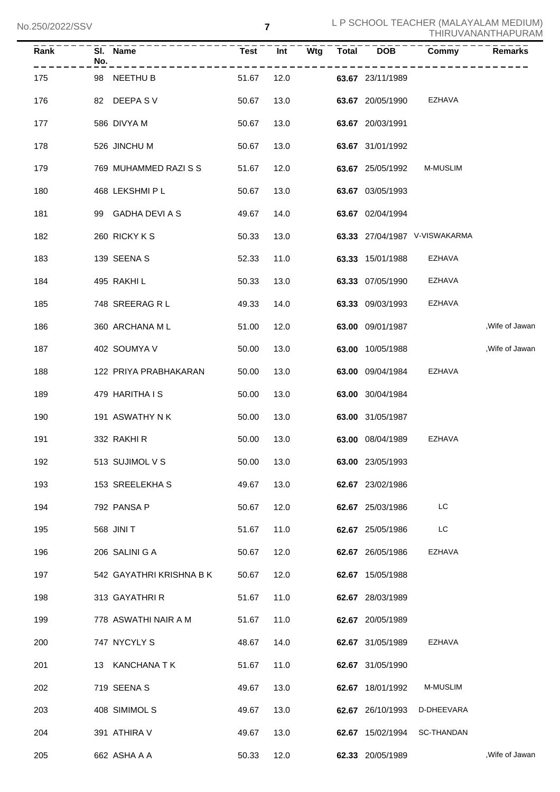No.250/2022/SSV

| $\overline{Rank}$ | SI. Name<br>No.          | <b>Test</b> |      | Int Wtg | Total DOB        | Commy                         | <b>Remarks</b>  |
|-------------------|--------------------------|-------------|------|---------|------------------|-------------------------------|-----------------|
| 175               | 98 NEETHU B              | 51.67       | 12.0 |         | 63.67 23/11/1989 |                               |                 |
| 176               | 82 DEEPASV               | 50.67       | 13.0 |         | 63.67 20/05/1990 | EZHAVA                        |                 |
| 177               | 586 DIVYA M              | 50.67       | 13.0 |         | 63.67 20/03/1991 |                               |                 |
| 178               | 526 JINCHU M             | 50.67       | 13.0 |         | 63.67 31/01/1992 |                               |                 |
| 179               | 769 MUHAMMED RAZI S S    | 51.67       | 12.0 |         | 63.67 25/05/1992 | <b>M-MUSLIM</b>               |                 |
| 180               | 468 LEKSHMI P L          | 50.67       | 13.0 |         | 63.67 03/05/1993 |                               |                 |
| 181               | 99 GADHA DEVI A S        | 49.67       | 14.0 |         | 63.67 02/04/1994 |                               |                 |
| 182               | 260 RICKY K S            | 50.33       | 13.0 |         |                  | 63.33 27/04/1987 V-VISWAKARMA |                 |
| 183               | 139 SEENA S              | 52.33       | 11.0 |         | 63.33 15/01/1988 | EZHAVA                        |                 |
| 184               | 495 RAKHI L              | 50.33       | 13.0 |         | 63.33 07/05/1990 | EZHAVA                        |                 |
| 185               | 748 SREERAG R L          | 49.33       | 14.0 |         | 63.33 09/03/1993 | EZHAVA                        |                 |
| 186               | 360 ARCHANA ML           | 51.00       | 12.0 |         | 63.00 09/01/1987 |                               | , Wife of Jawan |
| 187               | 402 SOUMYA V             | 50.00       | 13.0 |         | 63.00 10/05/1988 |                               | , Wife of Jawan |
| 188               | 122 PRIYA PRABHAKARAN    | 50.00       | 13.0 |         | 63.00 09/04/1984 | EZHAVA                        |                 |
| 189               | 479 HARITHA I S          | 50.00       | 13.0 |         | 63.00 30/04/1984 |                               |                 |
| 190               | 191 ASWATHY N K          | 50.00       | 13.0 |         | 63.00 31/05/1987 |                               |                 |
| 191               | 332 RAKHI R              | 50.00       | 13.0 |         | 63.00 08/04/1989 | EZHAVA                        |                 |
| 192               | 513 SUJIMOL V S          | 50.00       | 13.0 |         | 63.00 23/05/1993 |                               |                 |
| 193               | 153 SREELEKHA S          | 49.67       | 13.0 |         | 62.67 23/02/1986 |                               |                 |
| 194               | 792 PANSA P              | 50.67       | 12.0 |         | 62.67 25/03/1986 | LC                            |                 |
| 195               | 568 JINI T               | 51.67       | 11.0 |         | 62.67 25/05/1986 | LC                            |                 |
| 196               | 206 SALINI G A           | 50.67       | 12.0 |         | 62.67 26/05/1986 | <b>EZHAVA</b>                 |                 |
| 197               | 542 GAYATHRI KRISHNA B K | 50.67       | 12.0 |         | 62.67 15/05/1988 |                               |                 |
| 198               | 313 GAYATHRIR            | 51.67       | 11.0 |         | 62.67 28/03/1989 |                               |                 |
| 199               | 778 ASWATHI NAIR A M     | 51.67       | 11.0 |         | 62.67 20/05/1989 |                               |                 |
| 200               | 747 NYCYLY S             | 48.67       | 14.0 |         | 62.67 31/05/1989 | EZHAVA                        |                 |
| 201               | 13 KANCHANA T K          | 51.67       | 11.0 |         | 62.67 31/05/1990 |                               |                 |
| 202               | 719 SEENA S              | 49.67       | 13.0 |         | 62.67 18/01/1992 | M-MUSLIM                      |                 |
| 203               | 408 SIMIMOL S            | 49.67       | 13.0 |         | 62.67 26/10/1993 | D-DHEEVARA                    |                 |
| 204               | 391 ATHIRA V             | 49.67       | 13.0 |         | 62.67 15/02/1994 | SC-THANDAN                    |                 |
| 205               | 662 ASHA A A             | 50.33       | 12.0 |         | 62.33 20/05/1989 |                               | , Wife of Jawan |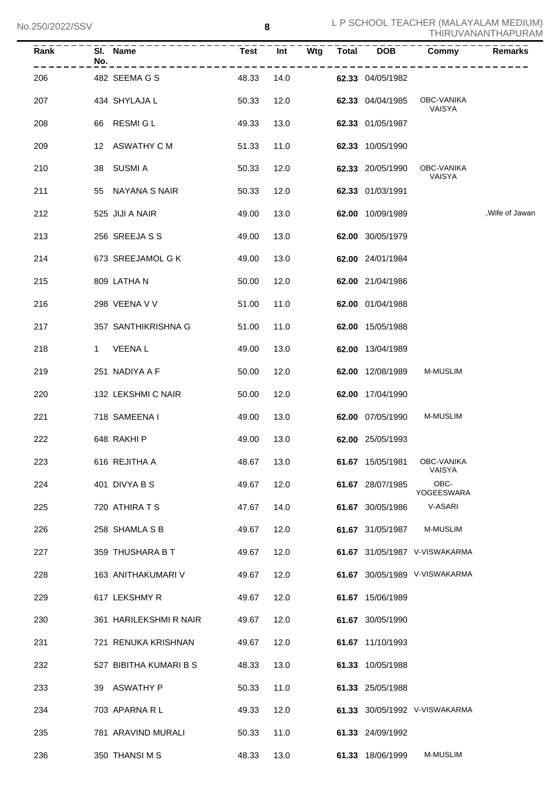| Rank | SI. Name<br>No.        | Test  | Int  | Wtg<br>Total |                  | DOB Commy                     | <b>Remarks</b>  |
|------|------------------------|-------|------|--------------|------------------|-------------------------------|-----------------|
| 206  | 482 SEEMA G S          | 48.33 | 14.0 |              | 62.33 04/05/1982 |                               |                 |
| 207  | 434 SHYLAJA L          | 50.33 | 12.0 |              | 62.33 04/04/1985 | OBC-VANIKA<br>VAISYA          |                 |
| 208  | 66 RESMIGL             | 49.33 | 13.0 |              | 62.33 01/05/1987 |                               |                 |
| 209  | 12 ASWATHY C M         | 51.33 | 11.0 |              | 62.33 10/05/1990 |                               |                 |
| 210  | 38 SUSMI A             | 50.33 | 12.0 |              | 62.33 20/05/1990 | OBC-VANIKA<br>VAISYA          |                 |
| 211  | 55 NAYANA S NAIR       | 50.33 | 12.0 |              | 62.33 01/03/1991 |                               |                 |
| 212  | 525 JIJI A NAIR        | 49.00 | 13.0 |              | 62.00 10/09/1989 |                               | , Wife of Jawan |
| 213  | 256 SREEJA S S         | 49.00 | 13.0 |              | 62.00 30/05/1979 |                               |                 |
| 214  | 673 SREEJAMOL G K      | 49.00 | 13.0 |              | 62.00 24/01/1984 |                               |                 |
| 215  | 809 LATHAN             | 50.00 | 12.0 |              | 62.00 21/04/1986 |                               |                 |
| 216  | 298 VEENA V V          | 51.00 | 11.0 |              | 62.00 01/04/1988 |                               |                 |
| 217  | 357 SANTHIKRISHNA G    | 51.00 | 11.0 |              | 62.00 15/05/1988 |                               |                 |
| 218  | 1 VEENAL               | 49.00 | 13.0 |              | 62.00 13/04/1989 |                               |                 |
| 219  | 251 NADIYA A F         | 50.00 | 12.0 |              | 62.00 12/08/1989 | M-MUSLIM                      |                 |
| 220  | 132 LEKSHMI C NAIR     | 50.00 | 12.0 |              | 62.00 17/04/1990 |                               |                 |
| 221  | 718 SAMEENA I          | 49.00 | 13.0 |              | 62.00 07/05/1990 | M-MUSLIM                      |                 |
| 222  | 648 RAKHI P            | 49.00 | 13.0 |              | 62.00 25/05/1993 |                               |                 |
| 223  | 616 REJITHA A          | 48.67 | 13.0 |              | 61.67 15/05/1981 | OBC-VANIKA<br>VAISYA          |                 |
| 224  | 401 DIVYA B S          | 49.67 | 12.0 |              | 61.67 28/07/1985 | OBC-<br>YOGEESWARA            |                 |
| 225  | 720 ATHIRA T S         | 47.67 | 14.0 |              | 61.67 30/05/1986 | V-ASARI                       |                 |
| 226  | 258 SHAMLA S B         | 49.67 | 12.0 |              | 61.67 31/05/1987 | M-MUSLIM                      |                 |
| 227  | 359 THUSHARA B T       | 49.67 | 12.0 |              |                  | 61.67 31/05/1987 V-VISWAKARMA |                 |
| 228  | 163 ANITHAKUMARI V     | 49.67 | 12.0 |              |                  | 61.67 30/05/1989 V-VISWAKARMA |                 |
| 229  | 617 LEKSHMY R          | 49.67 | 12.0 |              | 61.67 15/06/1989 |                               |                 |
| 230  | 361 HARILEKSHMI R NAIR | 49.67 | 12.0 |              | 61.67 30/05/1990 |                               |                 |
| 231  | 721 RENUKA KRISHNAN    | 49.67 | 12.0 |              | 61.67 11/10/1993 |                               |                 |
| 232  | 527 BIBITHA KUMARI B S | 48.33 | 13.0 |              | 61.33 10/05/1988 |                               |                 |
| 233  | ASWATHY P<br>39        | 50.33 | 11.0 |              | 61.33 25/05/1988 |                               |                 |
| 234  | 703 APARNA R L         | 49.33 | 12.0 |              |                  | 61.33 30/05/1992 V-VISWAKARMA |                 |
| 235  | 781 ARAVIND MURALI     | 50.33 | 11.0 |              | 61.33 24/09/1992 |                               |                 |
| 236  | 350 THANSIMS           | 48.33 | 13.0 |              | 61.33 18/06/1999 | M-MUSLIM                      |                 |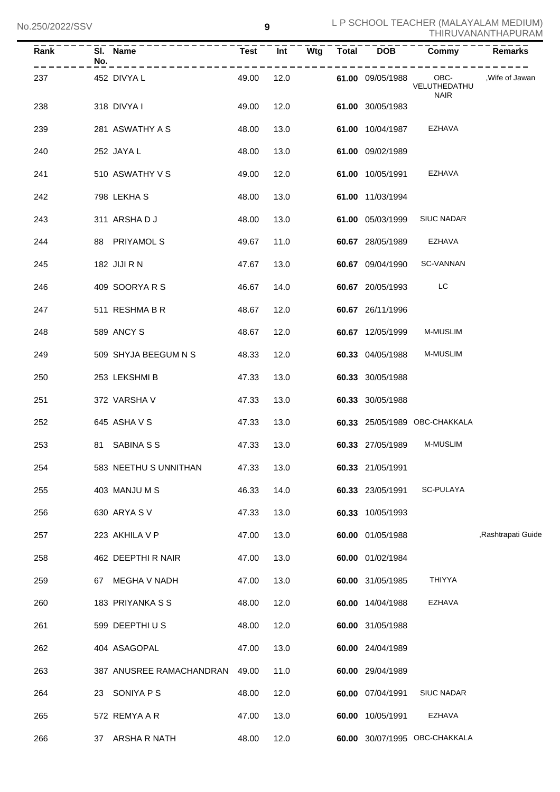| Rank | No. | SI. Name                    | Test  |      |      |                         | Int Wtg Total DOB Commy       | Remarks             |
|------|-----|-----------------------------|-------|------|------|-------------------------|-------------------------------|---------------------|
| 237  |     | ------------<br>452 DIVYA L | 49.00 |      |      | 12.0 61.00 09/05/1988   | VELUTHEDATHU<br><b>NAIR</b>   | OBC- ,Wife of Jawan |
| 238  |     | 318 DIVYA I                 | 49.00 |      | 12.0 | 61.00 30/05/1983        |                               |                     |
| 239  |     | 281 ASWATHY A S             | 48.00 | 13.0 |      | 61.00 10/04/1987 EZHAVA |                               |                     |
| 240  |     | 252 JAYA L                  | 48.00 | 13.0 |      | 61.00 09/02/1989        |                               |                     |
| 241  |     | 510 ASWATHY V S             | 49.00 | 12.0 |      | 61.00 10/05/1991 EZHAVA |                               |                     |
| 242  |     | 798 LEKHA S                 | 48.00 | 13.0 |      | 61.00 11/03/1994        |                               |                     |
| 243  |     | 311 ARSHADJ                 | 48.00 | 13.0 |      |                         | 61.00 05/03/1999 SIUC NADAR   |                     |
| 244  |     | 88 PRIYAMOL S               | 49.67 | 11.0 |      | 60.67 28/05/1989 EZHAVA |                               |                     |
| 245  |     | 182 JIJI R N                | 47.67 | 13.0 |      |                         | 60.67 09/04/1990 SC-VANNAN    |                     |
| 246  |     | 409 SOORYARS                | 46.67 | 14.0 |      | 60.67 20/05/1993 LC     |                               |                     |
| 247  |     | 511 RESHMA B R              | 48.67 | 12.0 |      | 60.67 26/11/1996        |                               |                     |
| 248  |     | 589 ANCY S                  | 48.67 | 12.0 |      | <b>60.67</b> 12/05/1999 | <b>M-MUSLIM</b>               |                     |
| 249  |     | 509 SHYJA BEEGUM N S        | 48.33 | 12.0 |      | 60.33 04/05/1988        | <b>M-MUSLIM</b>               |                     |
| 250  |     | 253 LEKSHMI B               | 47.33 | 13.0 |      | 60.33 30/05/1988        |                               |                     |
| 251  |     | 372 VARSHA V                | 47.33 | 13.0 |      | 60.33 30/05/1988        |                               |                     |
| 252  |     | 645 ASHA V S                | 47.33 | 13.0 |      |                         | 60.33 25/05/1989 OBC-CHAKKALA |                     |
| 253  |     | 81 SABINA S S               | 47.33 | 13.0 |      | 60.33 27/05/1989        | <b>M-MUSLIM</b>               |                     |
| 254  |     | 583 NEETHU S UNNITHAN       | 47.33 | 13.0 |      | 60.33 21/05/1991        |                               |                     |
| 255  |     | 403 MANJU M S               | 46.33 | 14.0 |      | 60.33 23/05/1991        | SC-PULAYA                     |                     |
| 256  |     | 630 ARYA S V                | 47.33 | 13.0 |      | 60.33 10/05/1993        |                               |                     |
| 257  |     | 223 AKHILA V P              | 47.00 | 13.0 |      | 60.00 01/05/1988        |                               | ,Rashtrapati Guide  |
| 258  |     | 462 DEEPTHI R NAIR          | 47.00 | 13.0 |      | 60.00 01/02/1984        |                               |                     |
| 259  |     | 67 MEGHA V NADH             | 47.00 | 13.0 |      | 60.00 31/05/1985        | <b>THIYYA</b>                 |                     |
| 260  |     | 183 PRIYANKA S S            | 48.00 | 12.0 |      | 60.00 14/04/1988        | EZHAVA                        |                     |
| 261  |     | 599 DEEPTHIUS               | 48.00 | 12.0 |      | 60.00 31/05/1988        |                               |                     |
| 262  |     | 404 ASAGOPAL                | 47.00 | 13.0 |      | 60.00 24/04/1989        |                               |                     |
| 263  |     | 387 ANUSREE RAMACHANDRAN    | 49.00 | 11.0 |      | 60.00 29/04/1989        |                               |                     |
| 264  |     | 23 SONIYA P S               | 48.00 | 12.0 |      | 60.00 07/04/1991        | <b>SIUC NADAR</b>             |                     |
| 265  |     | 572 REMYA A R               | 47.00 | 13.0 |      | 60.00 10/05/1991        | EZHAVA                        |                     |
| 266  |     | 37 ARSHA R NATH             | 48.00 | 12.0 |      |                         | 60.00 30/07/1995 OBC-CHAKKALA |                     |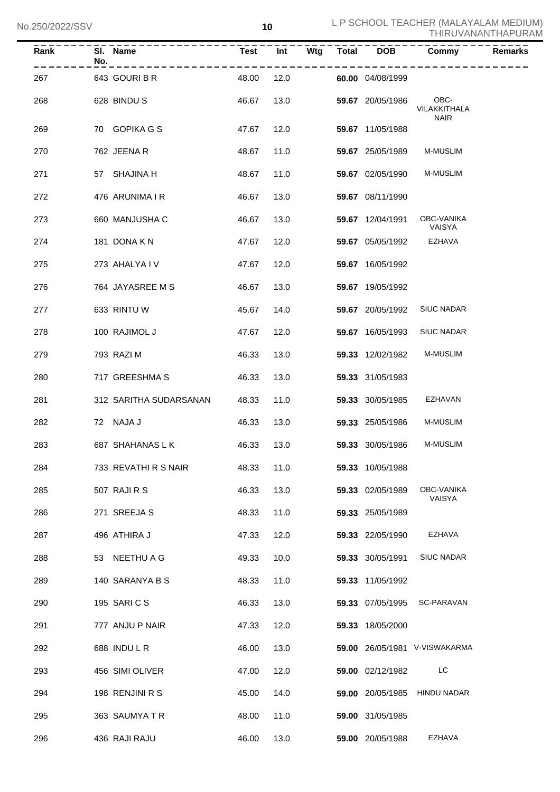| Rank | SI. Name<br>No.<br>$- - - - - - - -$ |       |      | Test Int Wtg Total DOB |                  | <b>Commy</b>                        | <b>Remarks</b> |
|------|--------------------------------------|-------|------|------------------------|------------------|-------------------------------------|----------------|
| 267  | 643 GOURIBR                          | 48.00 | 12.0 |                        | 60.00 04/08/1999 |                                     |                |
| 268  | 628 BINDUS                           | 46.67 |      | 13.0                   | 59.67 20/05/1986 | OBC-<br>VILAKKITHALA<br><b>NAIR</b> |                |
| 269  | 70 GOPIKA G S                        | 47.67 |      | 12.0                   | 59.67 11/05/1988 |                                     |                |
| 270  | 762 JEENA R                          | 48.67 | 11.0 |                        | 59.67 25/05/1989 | M-MUSLIM                            |                |
| 271  | 57 SHAJINA H                         | 48.67 | 11.0 |                        | 59.67 02/05/1990 | M-MUSLIM                            |                |
| 272  | 476 ARUNIMA I R                      | 46.67 | 13.0 |                        | 59.67 08/11/1990 |                                     |                |
| 273  | 660 MANJUSHA C                       | 46.67 | 13.0 |                        | 59.67 12/04/1991 | OBC-VANIKA<br>VAISYA                |                |
| 274  | 181 DONA K N                         | 47.67 | 12.0 |                        | 59.67 05/05/1992 | EZHAVA                              |                |
| 275  | 273 AHALYAIV                         | 47.67 | 12.0 |                        | 59.67 16/05/1992 |                                     |                |
| 276  | 764 JAYASREE M S                     | 46.67 | 13.0 |                        | 59.67 19/05/1992 |                                     |                |
| 277  | 633 RINTU W                          | 45.67 | 14.0 |                        | 59.67 20/05/1992 | <b>SIUC NADAR</b>                   |                |
| 278  | 100 RAJIMOL J                        | 47.67 | 12.0 |                        | 59.67 16/05/1993 | <b>SIUC NADAR</b>                   |                |
| 279  | 793 RAZI M                           | 46.33 | 13.0 |                        | 59.33 12/02/1982 | M-MUSLIM                            |                |
| 280  | 717 GREESHMA S                       | 46.33 | 13.0 |                        | 59.33 31/05/1983 |                                     |                |
| 281  | 312 SARITHA SUDARSANAN               | 48.33 | 11.0 |                        | 59.33 30/05/1985 | EZHAVAN                             |                |
| 282  | 72 NAJA J                            | 46.33 | 13.0 |                        | 59.33 25/05/1986 | M-MUSLIM                            |                |
| 283  | 687 SHAHANAS L K                     | 46.33 | 13.0 |                        | 59.33 30/05/1986 | <b>M-MUSLIM</b>                     |                |
| 284  | 733 REVATHI R S NAIR                 | 48.33 | 11.0 |                        | 59.33 10/05/1988 |                                     |                |
| 285  | 507 RAJI R S                         | 46.33 | 13.0 |                        | 59.33 02/05/1989 | OBC-VANIKA<br>VAISYA                |                |
| 286  | 271 SREEJA S                         | 48.33 | 11.0 |                        | 59.33 25/05/1989 |                                     |                |
| 287  | 496 ATHIRA J                         | 47.33 | 12.0 |                        | 59.33 22/05/1990 | EZHAVA                              |                |
| 288  | 53 NEETHU A G                        | 49.33 | 10.0 |                        | 59.33 30/05/1991 | <b>SIUC NADAR</b>                   |                |
| 289  | 140 SARANYA B S                      | 48.33 | 11.0 |                        | 59.33 11/05/1992 |                                     |                |
| 290  | 195 SARICS                           | 46.33 | 13.0 |                        | 59.33 07/05/1995 | SC-PARAVAN                          |                |
| 291  | 777 ANJU P NAIR                      | 47.33 | 12.0 |                        | 59.33 18/05/2000 |                                     |                |
| 292  | 688 INDULR                           | 46.00 | 13.0 |                        |                  | 59.00 26/05/1981 V-VISWAKARMA       |                |
| 293  | 456 SIMI OLIVER                      | 47.00 | 12.0 |                        | 59.00 02/12/1982 | LC                                  |                |
| 294  | 198 RENJINI R S                      | 45.00 | 14.0 |                        | 59.00 20/05/1985 | HINDU NADAR                         |                |
| 295  | 363 SAUMYATR                         | 48.00 | 11.0 |                        | 59.00 31/05/1985 |                                     |                |
| 296  | 436 RAJI RAJU                        | 46.00 | 13.0 |                        | 59.00 20/05/1988 | EZHAVA                              |                |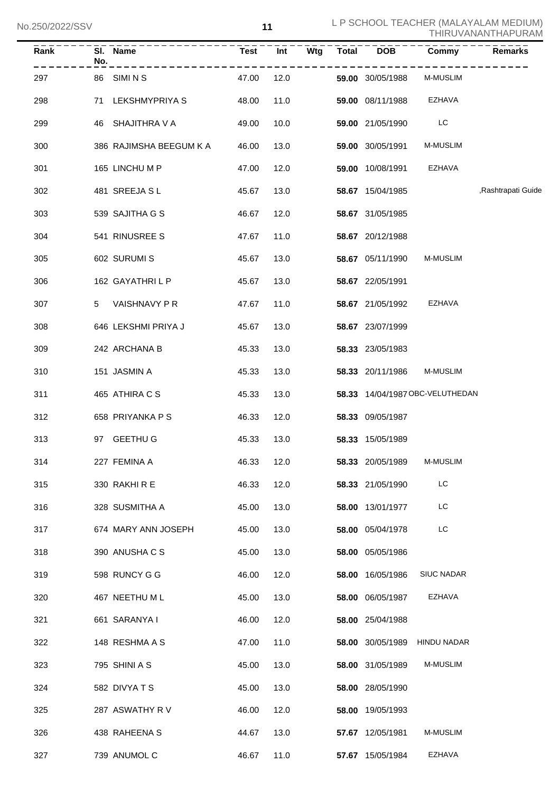| Rank | SI. Name<br>No.         | <b>Test</b> |      |  |                         | <u>Int Wtg Total DOB Commy</u>  | <b>Remarks</b>     |
|------|-------------------------|-------------|------|--|-------------------------|---------------------------------|--------------------|
| 297  | . <u>.</u><br>86 SIMINS | 47.00       | 12.0 |  | 59.00 30/05/1988        | M-MUSLIM                        |                    |
| 298  | 71 LEKSHMYPRIYA S       | 48.00       | 11.0 |  | 59.00 08/11/1988 EZHAVA |                                 |                    |
| 299  | 46 SHAJITHRA V A        | 49.00       | 10.0 |  | 59.00 21/05/1990        | LC                              |                    |
| 300  | 386 RAJIMSHA BEEGUM K A | 46.00       | 13.0 |  | 59.00 30/05/1991        | <b>M-MUSLIM</b>                 |                    |
| 301  | 165 LINCHU M P          | 47.00       | 12.0 |  | 59.00 10/08/1991        | EZHAVA                          |                    |
| 302  | 481 SREEJA SL           | 45.67       | 13.0 |  | 58.67 15/04/1985        |                                 | ,Rashtrapati Guide |
| 303  | 539 SAJITHA G S         | 46.67       | 12.0 |  | 58.67 31/05/1985        |                                 |                    |
| 304  | 541 RINUSREE S          | 47.67       | 11.0 |  | 58.67 20/12/1988        |                                 |                    |
| 305  | 602 SURUMI S            | 45.67       | 13.0 |  | 58.67 05/11/1990        | <b>M-MUSLIM</b>                 |                    |
| 306  | 162 GAYATHRILP          | 45.67       | 13.0 |  | 58.67 22/05/1991        |                                 |                    |
| 307  | 5 VAISHNAVY PR          | 47.67       | 11.0 |  | 58.67 21/05/1992        | EZHAVA                          |                    |
| 308  | 646 LEKSHMI PRIYA J     | 45.67       | 13.0 |  | 58.67 23/07/1999        |                                 |                    |
| 309  | 242 ARCHANA B           | 45.33       | 13.0 |  | 58.33 23/05/1983        |                                 |                    |
| 310  | 151 JASMIN A            | 45.33       | 13.0 |  | 58.33 20/11/1986        | <b>M-MUSLIM</b>                 |                    |
| 311  | 465 ATHIRA C S          | 45.33       | 13.0 |  |                         | 58.33 14/04/1987 OBC-VELUTHEDAN |                    |
| 312  | 658 PRIYANKA P S        | 46.33       | 12.0 |  | 58.33 09/05/1987        |                                 |                    |
| 313  | 97 GEETHU G             | 45.33       | 13.0 |  | 58.33 15/05/1989        |                                 |                    |
| 314  | 227 FEMINA A            | 46.33       | 12.0 |  | <b>58.33</b> 20/05/1989 | <b>M-MUSLIM</b>                 |                    |
| 315  | 330 RAKHIRE             | 46.33       | 12.0 |  | 58.33 21/05/1990        | LC                              |                    |
| 316  | 328 SUSMITHA A          | 45.00       | 13.0 |  | 58.00 13/01/1977        | LC                              |                    |
| 317  | 674 MARY ANN JOSEPH     | 45.00       | 13.0 |  | 58.00 05/04/1978        | LC                              |                    |
| 318  | 390 ANUSHA C S          | 45.00       | 13.0 |  | 58.00 05/05/1986        |                                 |                    |
| 319  | 598 RUNCY G G           | 46.00       | 12.0 |  | 58.00 16/05/1986        | <b>SIUC NADAR</b>               |                    |
| 320  | 467 NEETHU M L          | 45.00       | 13.0 |  | 58.00 06/05/1987        | EZHAVA                          |                    |
| 321  | 661 SARANYA I           | 46.00       | 12.0 |  | 58.00 25/04/1988        |                                 |                    |
| 322  | 148 RESHMA A S          | 47.00       | 11.0 |  |                         | 58.00 30/05/1989 HINDU NADAR    |                    |
| 323  | 795 SHINI A S           | 45.00       | 13.0 |  | 58.00 31/05/1989        | M-MUSLIM                        |                    |
| 324  | 582 DIVYATS             | 45.00       | 13.0 |  | 58.00 28/05/1990        |                                 |                    |
| 325  | 287 ASWATHY R V         | 46.00       | 12.0 |  | 58.00 19/05/1993        |                                 |                    |
| 326  | 438 RAHEENA S           | 44.67       | 13.0 |  | 57.67 12/05/1981        | M-MUSLIM                        |                    |
| 327  | 739 ANUMOL C            | 46.67       | 11.0 |  | 57.67 15/05/1984        | EZHAVA                          |                    |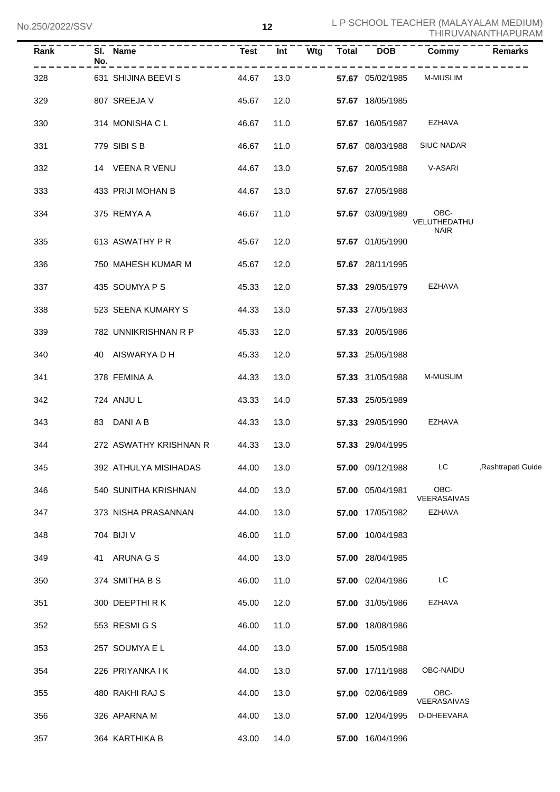| Rank | No. | SI. Name               | <b>Test</b> | Int  | Wtg | <b>Total</b> | <b>DOB</b>       | Commy                               | <b>Remarks</b>     |
|------|-----|------------------------|-------------|------|-----|--------------|------------------|-------------------------------------|--------------------|
| 328  |     | 631 SHIJINA BEEVI S    | 44.67       | 13.0 |     |              | 57.67 05/02/1985 | <b>M-MUSLIM</b>                     |                    |
| 329  |     | 807 SREEJA V           | 45.67       | 12.0 |     |              | 57.67 18/05/1985 |                                     |                    |
| 330  |     | 314 MONISHA C L        | 46.67       | 11.0 |     |              | 57.67 16/05/1987 | EZHAVA                              |                    |
| 331  |     | 779 SIBI S B           | 46.67       | 11.0 |     |              |                  | 57.67 08/03/1988 SIUC NADAR         |                    |
| 332  |     | 14 VEENA R VENU        | 44.67       | 13.0 |     |              |                  | 57.67 20/05/1988 V-ASARI            |                    |
| 333  |     | 433 PRIJI MOHAN B      | 44.67       | 13.0 |     |              | 57.67 27/05/1988 |                                     |                    |
| 334  |     | 375 REMYA A            | 46.67       | 11.0 |     |              | 57.67 03/09/1989 | OBC-<br>VELUTHEDATHU<br><b>NAIR</b> |                    |
| 335  |     | 613 ASWATHY P R        | 45.67       | 12.0 |     |              | 57.67 01/05/1990 |                                     |                    |
| 336  |     | 750 MAHESH KUMAR M     | 45.67       | 12.0 |     |              | 57.67 28/11/1995 |                                     |                    |
| 337  |     | 435 SOUMYA P S         | 45.33       | 12.0 |     |              | 57.33 29/05/1979 | EZHAVA                              |                    |
| 338  |     | 523 SEENA KUMARY S     | 44.33       | 13.0 |     |              | 57.33 27/05/1983 |                                     |                    |
| 339  |     | 782 UNNIKRISHNAN R P   | 45.33       | 12.0 |     |              | 57.33 20/05/1986 |                                     |                    |
| 340  |     | 40 AISWARYA D H        | 45.33       | 12.0 |     |              | 57.33 25/05/1988 |                                     |                    |
| 341  |     | 378 FEMINA A           | 44.33       | 13.0 |     |              | 57.33 31/05/1988 | <b>M-MUSLIM</b>                     |                    |
| 342  |     | 724 ANJUL              | 43.33       | 14.0 |     |              | 57.33 25/05/1989 |                                     |                    |
| 343  |     | 83 DANI A B            | 44.33       | 13.0 |     |              | 57.33 29/05/1990 | EZHAVA                              |                    |
| 344  |     | 272 ASWATHY KRISHNAN R | 44.33       | 13.0 |     |              | 57.33 29/04/1995 |                                     |                    |
| 345  |     | 392 ATHULYA MISIHADAS  | 44.00       | 13.0 |     |              | 57.00 09/12/1988 | LC.                                 | ,Rashtrapati Guide |
| 346  |     | 540 SUNITHA KRISHNAN   | 44.00       | 13.0 |     |              | 57.00 05/04/1981 | OBC-<br>VEERASAIVAS                 |                    |
| 347  |     | 373 NISHA PRASANNAN    | 44.00       | 13.0 |     |              | 57.00 17/05/1982 | EZHAVA                              |                    |
| 348  |     | 704 BIJI V             | 46.00       | 11.0 |     |              | 57.00 10/04/1983 |                                     |                    |
| 349  |     | 41 ARUNA G S           | 44.00       | 13.0 |     |              | 57.00 28/04/1985 |                                     |                    |
| 350  |     | 374 SMITHA B S         | 46.00       | 11.0 |     |              | 57.00 02/04/1986 | LC                                  |                    |
| 351  |     | 300 DEEPTHIRK          | 45.00       | 12.0 |     |              | 57.00 31/05/1986 | <b>EZHAVA</b>                       |                    |
| 352  |     | 553 RESMIGS            | 46.00       | 11.0 |     |              | 57.00 18/08/1986 |                                     |                    |
| 353  |     | 257 SOUMYA E L         | 44.00       | 13.0 |     |              | 57.00 15/05/1988 |                                     |                    |
| 354  |     | 226 PRIYANKA I K       | 44.00       | 13.0 |     |              | 57.00 17/11/1988 | OBC-NAIDU                           |                    |
| 355  |     | 480 RAKHI RAJ S        | 44.00       | 13.0 |     |              | 57.00 02/06/1989 | OBC-<br>VEERASAIVAS                 |                    |
| 356  |     | 326 APARNA M           | 44.00       | 13.0 |     |              | 57.00 12/04/1995 | D-DHEEVARA                          |                    |
| 357  |     | 364 KARTHIKA B         | 43.00       | 14.0 |     |              | 57.00 16/04/1996 |                                     |                    |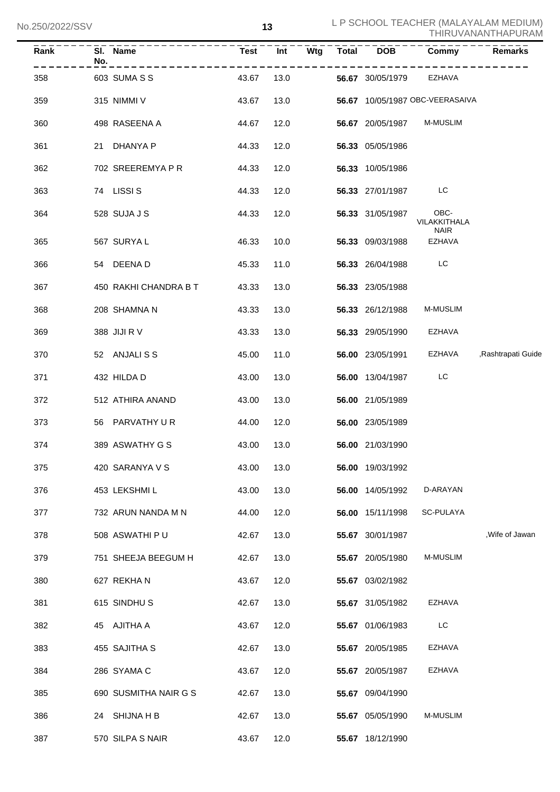| Rank | No. | SI. Name              | <b>Test</b> |      |  | $Int - Wtg$ Total DOB   | Commy                           | <b>Remarks</b>     |
|------|-----|-----------------------|-------------|------|--|-------------------------|---------------------------------|--------------------|
| 358  |     | 603 SUMA S S          | 43.67       | 13.0 |  | 56.67 30/05/1979 EZHAVA |                                 |                    |
| 359  |     | 315 NIMMI V           | 43.67       | 13.0 |  |                         | 56.67 10/05/1987 OBC-VEERASAIVA |                    |
| 360  |     | 498 RASEENA A         | 44.67       | 12.0 |  | <b>56.67</b> 20/05/1987 | M-MUSLIM                        |                    |
| 361  |     | 21 DHANYA P           | 44.33       | 12.0 |  | 56.33 05/05/1986        |                                 |                    |
| 362  |     | 702 SREEREMYA P R     | 44.33       | 12.0 |  | 56.33 10/05/1986        |                                 |                    |
| 363  |     | 74 LISSI S            | 44.33       | 12.0 |  | 56.33 27/01/1987        | LC                              |                    |
| 364  |     | 528 SUJA J S          | 44.33       | 12.0 |  | 56.33 31/05/1987        | OBC-<br>VILAKKITHALA            |                    |
| 365  |     | 567 SURYA L           | 46.33       | 10.0 |  | 56.33 09/03/1988        | <b>NAIR</b><br>EZHAVA           |                    |
| 366  |     | 54 DEENAD             | 45.33       | 11.0 |  | 56.33 26/04/1988        | LC                              |                    |
| 367  |     | 450 RAKHI CHANDRA B T | 43.33       | 13.0 |  | 56.33 23/05/1988        |                                 |                    |
| 368  |     | 208 SHAMNA N          | 43.33       | 13.0 |  | 56.33 26/12/1988        | M-MUSLIM                        |                    |
| 369  |     | 388 JIJI R V          | 43.33       | 13.0 |  | 56.33 29/05/1990        | EZHAVA                          |                    |
| 370  |     | 52 ANJALISS           | 45.00       | 11.0 |  | 56.00 23/05/1991        | EZHAVA                          | ,Rashtrapati Guide |
| 371  |     | 432 HILDA D           | 43.00       | 13.0 |  | 56.00 13/04/1987        | LC                              |                    |
| 372  |     | 512 ATHIRA ANAND      | 43.00       | 13.0 |  | 56.00 21/05/1989        |                                 |                    |
| 373  |     | 56 PARVATHY UR        | 44.00       | 12.0 |  | 56.00 23/05/1989        |                                 |                    |
| 374  |     | 389 ASWATHY G S       | 43.00       | 13.0 |  | 56.00 21/03/1990        |                                 |                    |
| 375  |     | 420 SARANYA V S       | 43.00       | 13.0 |  | 56.00 19/03/1992        |                                 |                    |
| 376  |     | 453 LEKSHMI L         | 43.00       | 13.0 |  | 56.00 14/05/1992        | D-ARAYAN                        |                    |
| 377  |     | 732 ARUN NANDA M N    | 44.00       | 12.0 |  | 56.00 15/11/1998        | SC-PULAYA                       |                    |
| 378  |     | 508 ASWATHI PU        | 42.67       | 13.0 |  | 55.67 30/01/1987        |                                 | .Wife of Jawan     |
| 379  |     | 751 SHEEJA BEEGUM H   | 42.67       | 13.0 |  | 55.67 20/05/1980        | M-MUSLIM                        |                    |
| 380  |     | 627 REKHAN            | 43.67       | 12.0 |  | 55.67 03/02/1982        |                                 |                    |
| 381  |     | 615 SINDHUS           | 42.67       | 13.0 |  | 55.67 31/05/1982        | <b>EZHAVA</b>                   |                    |
| 382  |     | 45 AJITHA A           | 43.67       | 12.0 |  | 55.67 01/06/1983        | LC.                             |                    |
| 383  |     | 455 SAJITHA S         | 42.67       | 13.0 |  | 55.67 20/05/1985        | <b>EZHAVA</b>                   |                    |
| 384  |     | 286 SYAMA C           | 43.67       | 12.0 |  | 55.67 20/05/1987        | <b>EZHAVA</b>                   |                    |
| 385  |     | 690 SUSMITHA NAIR G S | 42.67       | 13.0 |  | 55.67 09/04/1990        |                                 |                    |
| 386  |     | 24 SHIJNA H B         | 42.67       | 13.0 |  | 55.67 05/05/1990        | M-MUSLIM                        |                    |
| 387  |     | 570 SILPA S NAIR      | 43.67       | 12.0 |  | 55.67 18/12/1990        |                                 |                    |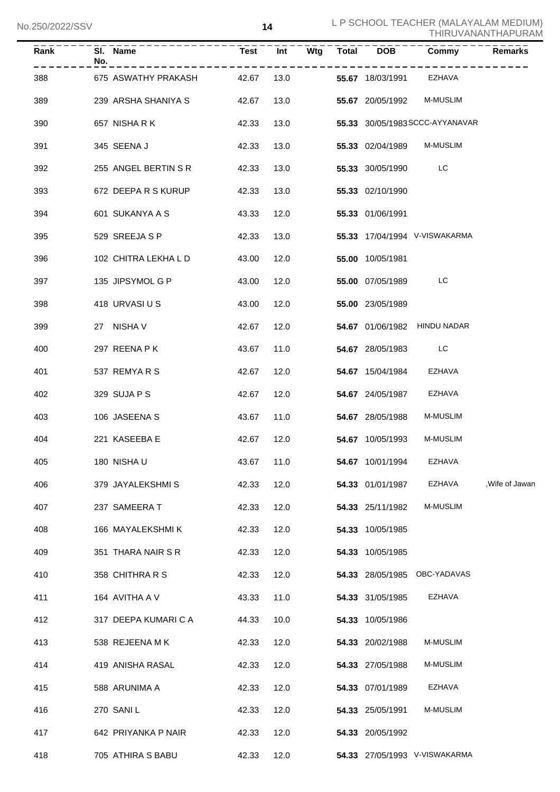| Rank | No. | SI. Name             | <b>Test</b> | Int  | Wtg | $\overline{\text{Total}}$ | <b>DOB</b>       | <b>Commy</b>                    | <b>Remarks</b> |
|------|-----|----------------------|-------------|------|-----|---------------------------|------------------|---------------------------------|----------------|
| 388  |     | 675 ASWATHY PRAKASH  | 42.67       | 13.0 |     |                           | 55.67 18/03/1991 | EZHAVA                          |                |
| 389  |     | 239 ARSHA SHANIYA S  | 42.67       | 13.0 |     |                           | 55.67 20/05/1992 | <b>M-MUSLIM</b>                 |                |
| 390  |     | 657 NISHARK          | 42.33       | 13.0 |     |                           |                  | 55.33 30/05/1983 SCCC-AYYANAVAR |                |
| 391  |     | 345 SEENA J          | 42.33       | 13.0 |     |                           | 55.33 02/04/1989 | <b>M-MUSLIM</b>                 |                |
| 392  |     | 255 ANGEL BERTIN S R | 42.33       | 13.0 |     |                           | 55.33 30/05/1990 | LC                              |                |
| 393  |     | 672 DEEPA R S KURUP  | 42.33       | 13.0 |     |                           | 55.33 02/10/1990 |                                 |                |
| 394  |     | 601 SUKANYA A S      | 43.33       | 12.0 |     |                           | 55.33 01/06/1991 |                                 |                |
| 395  |     | 529 SREEJA S P       | 42.33       | 13.0 |     |                           |                  | 55.33 17/04/1994 V-VISWAKARMA   |                |
| 396  |     | 102 CHITRA LEKHA L D | 43.00       | 12.0 |     |                           | 55.00 10/05/1981 |                                 |                |
| 397  |     | 135 JIPSYMOL G P     | 43.00       | 12.0 |     |                           | 55.00 07/05/1989 | LC                              |                |
| 398  |     | 418 URVASI U S       | 43.00       | 12.0 |     |                           | 55.00 23/05/1989 |                                 |                |
| 399  |     | 27 NISHA V           | 42.67       | 12.0 |     |                           |                  | 54.67 01/06/1982 HINDU NADAR    |                |
| 400  |     | 297 REENA P K        | 43.67       | 11.0 |     |                           | 54.67 28/05/1983 | LC                              |                |
| 401  |     | 537 REMYARS          | 42.67       | 12.0 |     |                           | 54.67 15/04/1984 | EZHAVA                          |                |
| 402  |     | 329 SUJA P S         | 42.67       | 12.0 |     |                           | 54.67 24/05/1987 | EZHAVA                          |                |
| 403  |     | 106 JASEENA S        | 43.67       | 11.0 |     |                           | 54.67 28/05/1988 | M-MUSLIM                        |                |
| 404  |     | 221 KASEEBA E        | 42.67       | 12.0 |     |                           | 54.67 10/05/1993 | <b>M-MUSLIM</b>                 |                |
| 405  |     | 180 NISHA U          | 43.67       | 11.0 |     |                           | 54.67 10/01/1994 | EZHAVA                          |                |
| 406  |     | 379 JAYALEKSHMI S    | 42.33       | 12.0 |     |                           | 54.33 01/01/1987 | EZHAVA                          | .Wife of Jawan |
| 407  |     | 237 SAMEERA T        | 42.33       | 12.0 |     |                           | 54.33 25/11/1982 | <b>M-MUSLIM</b>                 |                |
| 408  |     | 166 MAYALEKSHMI K    | 42.33       | 12.0 |     |                           | 54.33 10/05/1985 |                                 |                |
| 409  |     | 351 THARA NAIR S R   | 42.33       | 12.0 |     |                           | 54.33 10/05/1985 |                                 |                |
| 410  |     | 358 CHITHRA R S      | 42.33       | 12.0 |     |                           |                  | 54.33 28/05/1985 OBC-YADAVAS    |                |
| 411  |     | 164 AVITHA A V       | 43.33       | 11.0 |     |                           | 54.33 31/05/1985 | EZHAVA                          |                |
| 412  |     | 317 DEEPA KUMARI C A | 44.33       | 10.0 |     |                           | 54.33 10/05/1986 |                                 |                |
| 413  |     | 538 REJEENA MK       | 42.33       | 12.0 |     |                           | 54.33 20/02/1988 | <b>M-MUSLIM</b>                 |                |
| 414  |     | 419 ANISHA RASAL     | 42.33       | 12.0 |     |                           | 54.33 27/05/1988 | M-MUSLIM                        |                |
| 415  |     | 588 ARUNIMA A        | 42.33       | 12.0 |     |                           | 54.33 07/01/1989 | EZHAVA                          |                |
| 416  |     | 270 SANIL            | 42.33       | 12.0 |     |                           | 54.33 25/05/1991 | <b>M-MUSLIM</b>                 |                |
| 417  |     | 642 PRIYANKA P NAIR  | 42.33       | 12.0 |     |                           | 54.33 20/05/1992 |                                 |                |
| 418  |     | 705 ATHIRA S BABU    | 42.33       | 12.0 |     |                           |                  | 54.33 27/05/1993 V-VISWAKARMA   |                |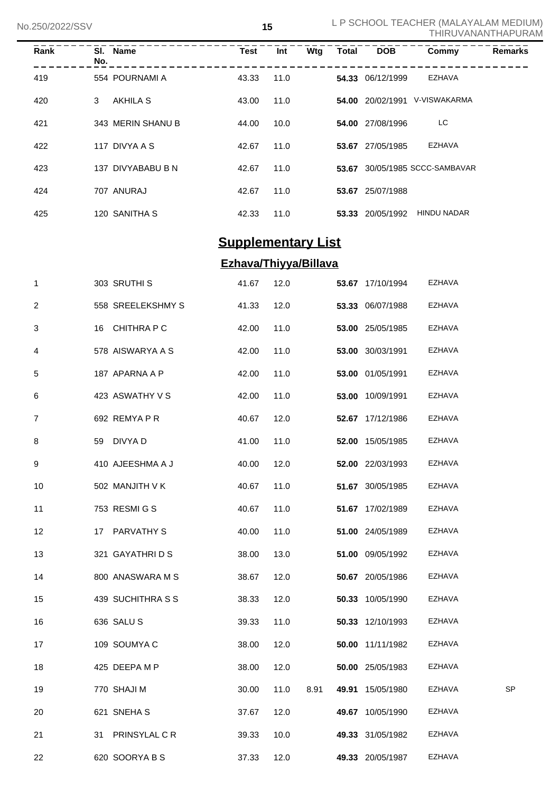| Rank | No. | SI. Name          | <b>Test</b> | Int  | Wtg | <b>Total</b> | <b>DOB</b>       | Commy                    | <b>Remarks</b> |
|------|-----|-------------------|-------------|------|-----|--------------|------------------|--------------------------|----------------|
| 419  |     | 554 POURNAMI A    | 43.33       | 11.0 |     |              | 54.33 06/12/1999 | <b>EZHAVA</b>            |                |
| 420  | 3   | AKHILA S          | 43.00       | 11.0 |     |              | 54.00 20/02/1991 | V-VISWAKARMA             |                |
| 421  |     | 343 MERIN SHANU B | 44.00       | 10.0 |     |              | 54.00 27/08/1996 | LC.                      |                |
| 422  |     | 117 DIVYA A S     | 42.67       | 11.0 |     |              | 53.67 27/05/1985 | <b>EZHAVA</b>            |                |
| 423  |     | 137 DIVYABABU B N | 42.67       | 11.0 |     | 53.67        |                  | 30/05/1985 SCCC-SAMBAVAR |                |
| 424  |     | 707 ANURAJ        | 42.67       | 11.0 |     | 53.67        | 25/07/1988       |                          |                |
| 425  |     | 120 SANITHA S     | 42.33       | 11.0 |     |              | 53.33 20/05/1992 | <b>HINDU NADAR</b>       |                |

# **Supplementary List**

# **Ezhava/Thiyya/Billava**

| $\mathbf{1}$ | 303 SRUTHI S      | 41.67 | 12.0 |      | 53.67 17/10/1994 | EZHAVA        |    |
|--------------|-------------------|-------|------|------|------------------|---------------|----|
| 2            | 558 SREELEKSHMY S | 41.33 | 12.0 |      | 53.33 06/07/1988 | EZHAVA        |    |
| 3            | 16 CHITHRA P C    | 42.00 | 11.0 |      | 53.00 25/05/1985 | EZHAVA        |    |
| 4            | 578 AISWARYA A S  | 42.00 | 11.0 |      | 53.00 30/03/1991 | EZHAVA        |    |
| 5            | 187 APARNA A P    | 42.00 | 11.0 |      | 53.00 01/05/1991 | EZHAVA        |    |
| 6            | 423 ASWATHY V S   | 42.00 | 11.0 |      | 53.00 10/09/1991 | EZHAVA        |    |
| 7            | 692 REMYA P R     | 40.67 | 12.0 |      | 52.67 17/12/1986 | EZHAVA        |    |
| 8            | 59 DIVYA D        | 41.00 | 11.0 |      | 52.00 15/05/1985 | EZHAVA        |    |
| 9            | 410 AJEESHMA A J  | 40.00 | 12.0 |      | 52.00 22/03/1993 | EZHAVA        |    |
| 10           | 502 MANJITH V K   | 40.67 | 11.0 |      | 51.67 30/05/1985 | EZHAVA        |    |
| 11           | 753 RESMI G S     | 40.67 | 11.0 |      | 51.67 17/02/1989 | EZHAVA        |    |
| 12           | 17 PARVATHY S     | 40.00 | 11.0 |      | 51.00 24/05/1989 | <b>EZHAVA</b> |    |
| 13           | 321 GAYATHRIDS    | 38.00 | 13.0 |      | 51.00 09/05/1992 | EZHAVA        |    |
| 14           | 800 ANASWARA M S  | 38.67 | 12.0 |      | 50.67 20/05/1986 | EZHAVA        |    |
| 15           | 439 SUCHITHRA S S | 38.33 | 12.0 |      | 50.33 10/05/1990 | EZHAVA        |    |
| 16           | 636 SALUS         | 39.33 | 11.0 |      | 50.33 12/10/1993 | EZHAVA        |    |
| 17           | 109 SOUMYA C      | 38.00 | 12.0 |      | 50.00 11/11/1982 | EZHAVA        |    |
| 18           | 425 DEEPA M P     | 38.00 | 12.0 |      | 50.00 25/05/1983 | EZHAVA        |    |
| 19           | 770 SHAJI M       | 30.00 | 11.0 | 8.91 | 49.91 15/05/1980 | EZHAVA        | SP |
| 20           | 621 SNEHA S       | 37.67 | 12.0 |      | 49.67 10/05/1990 | EZHAVA        |    |
| 21           | 31 PRINSYLAL CR   | 39.33 | 10.0 |      | 49.33 31/05/1982 | EZHAVA        |    |
| 22           | 620 SOORYABS      | 37.33 | 12.0 |      | 49.33 20/05/1987 | <b>EZHAVA</b> |    |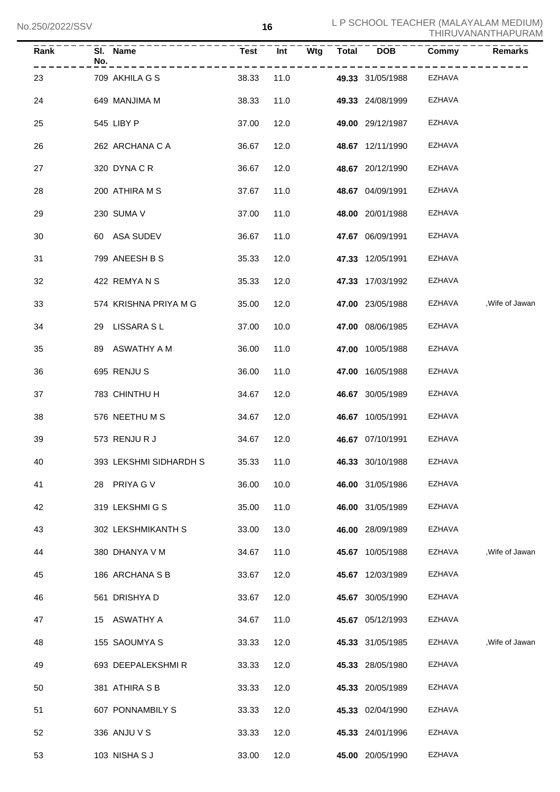| <b>Rank</b> | No. | SI. Name               | <b>Test</b> | Int  | <b>Wtg</b> | Total DOB        | Commy         | <b>Remarks</b>  |
|-------------|-----|------------------------|-------------|------|------------|------------------|---------------|-----------------|
| 23          |     | 709 AKHILA G S         | 38.33       | 11.0 |            | 49.33 31/05/1988 | EZHAVA        |                 |
| 24          |     | 649 MANJIMA M          | 38.33       | 11.0 |            | 49.33 24/08/1999 | <b>EZHAVA</b> |                 |
| 25          |     | 545 LIBY P             | 37.00       | 12.0 |            | 49.00 29/12/1987 | <b>EZHAVA</b> |                 |
| 26          |     | 262 ARCHANA C A        | 36.67       | 12.0 |            | 48.67 12/11/1990 | <b>EZHAVA</b> |                 |
| 27          |     | 320 DYNACR             | 36.67       | 12.0 |            | 48.67 20/12/1990 | <b>EZHAVA</b> |                 |
| 28          |     | 200 ATHIRA M S         | 37.67       | 11.0 |            | 48.67 04/09/1991 | <b>EZHAVA</b> |                 |
| 29          |     | 230 SUMA V             | 37.00       | 11.0 |            | 48.00 20/01/1988 | <b>EZHAVA</b> |                 |
| 30          |     | 60 ASA SUDEV           | 36.67       | 11.0 |            | 47.67 06/09/1991 | <b>EZHAVA</b> |                 |
| 31          |     | 799 ANEESH B S         | 35.33       | 12.0 |            | 47.33 12/05/1991 | <b>EZHAVA</b> |                 |
| 32          |     | 422 REMYANS            | 35.33       | 12.0 |            | 47.33 17/03/1992 | <b>EZHAVA</b> |                 |
| 33          |     | 574 KRISHNA PRIYA M G  | 35.00       | 12.0 |            | 47.00 23/05/1988 | EZHAVA        | , Wife of Jawan |
| 34          |     | 29 LISSARA SL          | 37.00       | 10.0 |            | 47.00 08/06/1985 | EZHAVA        |                 |
| 35          |     | 89 ASWATHY A M         | 36.00       | 11.0 |            | 47.00 10/05/1988 | <b>EZHAVA</b> |                 |
| 36          |     | 695 RENJU S            | 36.00       | 11.0 |            | 47.00 16/05/1988 | <b>EZHAVA</b> |                 |
| 37          |     | 783 CHINTHU H          | 34.67       | 12.0 |            | 46.67 30/05/1989 | <b>EZHAVA</b> |                 |
| 38          |     | 576 NEETHUMS           | 34.67       | 12.0 |            | 46.67 10/05/1991 | <b>EZHAVA</b> |                 |
| 39          |     | 573 RENJURJ            | 34.67       | 12.0 |            | 46.67 07/10/1991 | EZHAVA        |                 |
| 40          |     | 393 LEKSHMI SIDHARDH S | 35.33 11.0  |      |            | 46.33 30/10/1988 | EZHAVA        |                 |
| 41          |     | 28 PRIYA G V           | 36.00       | 10.0 |            | 46.00 31/05/1986 | <b>EZHAVA</b> |                 |
| 42          |     | 319 LEKSHMI G S        | 35.00       | 11.0 |            | 46.00 31/05/1989 | <b>EZHAVA</b> |                 |
| 43          |     | 302 LEKSHMIKANTH S     | 33.00       | 13.0 |            | 46.00 28/09/1989 | <b>EZHAVA</b> |                 |
| 44          |     | 380 DHANYA V M         | 34.67       | 11.0 |            | 45.67 10/05/1988 | EZHAVA        | , Wife of Jawan |
| 45          |     | 186 ARCHANA S B        | 33.67       | 12.0 |            | 45.67 12/03/1989 | <b>EZHAVA</b> |                 |
| 46          |     | 561 DRISHYA D          | 33.67       | 12.0 |            | 45.67 30/05/1990 | <b>EZHAVA</b> |                 |
| 47          |     | 15 ASWATHY A           | 34.67       | 11.0 |            | 45.67 05/12/1993 | <b>EZHAVA</b> |                 |
| 48          |     | 155 SAOUMYA S          | 33.33       | 12.0 |            | 45.33 31/05/1985 | EZHAVA        | , Wife of Jawan |
| 49          |     | 693 DEEPALEKSHMIR      | 33.33       | 12.0 |            | 45.33 28/05/1980 | EZHAVA        |                 |
| 50          |     | 381 ATHIRA S B         | 33.33       | 12.0 |            | 45.33 20/05/1989 | <b>EZHAVA</b> |                 |
| 51          |     | 607 PONNAMBILY S       | 33.33       | 12.0 |            | 45.33 02/04/1990 | <b>EZHAVA</b> |                 |
| 52          |     | 336 ANJU V S           | 33.33       | 12.0 |            | 45.33 24/01/1996 | EZHAVA        |                 |
| 53          |     | 103 NISHA S J          | 33.00       | 12.0 |            | 45.00 20/05/1990 | <b>EZHAVA</b> |                 |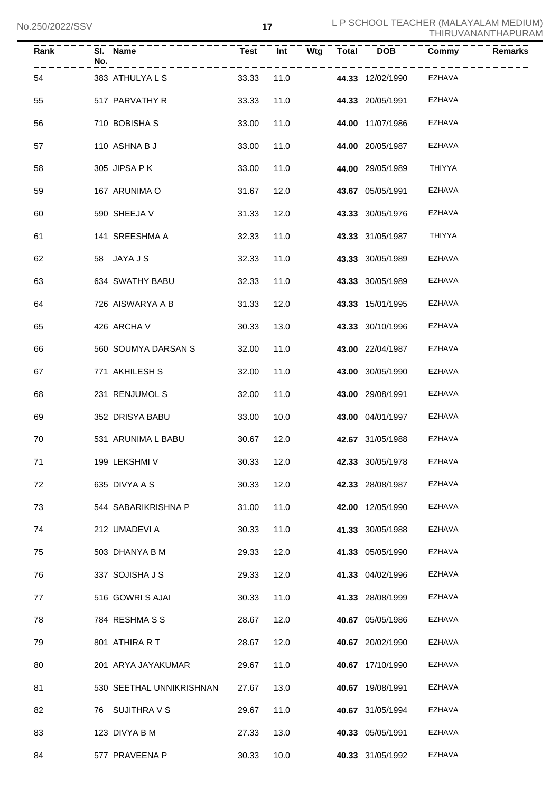| <b>Rank</b> | $\overline{SI}$ . Name<br>No.<br>------------- |       |            |                         | Commy         | <b>Remarks</b> |
|-------------|------------------------------------------------|-------|------------|-------------------------|---------------|----------------|
| 54          | 383 ATHULYALS                                  | 33.33 |            | 11.0 44.33 12/02/1990   | .<br>EZHAVA   |                |
| 55          | 517 PARVATHY R                                 | 33.33 | 11.0       | 44.33 20/05/1991        | EZHAVA        |                |
| 56          | 710 BOBISHA S                                  | 33.00 | 11.0       | 44.00 11/07/1986        | EZHAVA        |                |
| 57          | 110 ASHNA B J                                  | 33.00 | 11.0       | 44.00 20/05/1987        | <b>EZHAVA</b> |                |
| 58          | 305 JIPSA PK                                   | 33.00 | 11.0       | 44.00 29/05/1989        | THIYYA        |                |
| 59          | 167 ARUNIMA O                                  | 31.67 | 12.0       | 43.67 05/05/1991        | EZHAVA        |                |
| 60          | 590 SHEEJA V                                   | 31.33 | 12.0       | 43.33 30/05/1976        | EZHAVA        |                |
| 61          | 141 SREESHMA A                                 | 32.33 | 11.0       | 43.33 31/05/1987        | THIYYA        |                |
| 62          | 58 JAYA J S                                    | 32.33 | 11.0       | 43.33 30/05/1989        | EZHAVA        |                |
| 63          | 634 SWATHY BABU                                | 32.33 | 11.0       | 43.33 30/05/1989        | EZHAVA        |                |
| 64          | 726 AISWARYA A B                               | 31.33 | 12.0       | 43.33 15/01/1995        | EZHAVA        |                |
| 65          | 426 ARCHA V                                    | 30.33 | 13.0       | 43.33 30/10/1996        | EZHAVA        |                |
| 66          | 560 SOUMYA DARSAN S                            | 32.00 | 11.0       | 43.00 22/04/1987        | EZHAVA        |                |
| 67          | 771 AKHILESH S                                 | 32.00 | 11.0       | 43.00 30/05/1990        | EZHAVA        |                |
| 68          | 231 RENJUMOL S                                 | 32.00 | 11.0       | 43.00 29/08/1991        | EZHAVA        |                |
| 69          | 352 DRISYA BABU                                | 33.00 | 10.0       | 43.00 04/01/1997        | EZHAVA        |                |
| 70          | 531 ARUNIMA L BABU                             | 30.67 | 12.0       | 42.67 31/05/1988        | EZHAVA        |                |
| 71          | 199 LEKSHMI V                                  |       | 30.33 12.0 | <b>42.33</b> 30/05/1978 | EZHAVA        |                |
| 72          | 635 DIVYA A S                                  | 30.33 | 12.0       | 42.33 28/08/1987        | EZHAVA        |                |
| 73          | 544 SABARIKRISHNA P                            | 31.00 | 11.0       | 42.00 12/05/1990        | EZHAVA        |                |
| 74          | 212 UMADEVI A                                  | 30.33 | 11.0       | 41.33 30/05/1988        | EZHAVA        |                |
| 75          | 503 DHANYA B M                                 | 29.33 | 12.0       | 41.33 05/05/1990        | EZHAVA        |                |
| 76          | 337 SOJISHA J S                                | 29.33 | 12.0       | 41.33 04/02/1996        | EZHAVA        |                |
| 77          | 516 GOWRIS AJAI                                | 30.33 | 11.0       | 41.33 28/08/1999        | EZHAVA        |                |
| 78          | 784 RESHMASS                                   | 28.67 | 12.0       | 40.67 05/05/1986        | EZHAVA        |                |
| 79          | 801 ATHIRA R T                                 | 28.67 | 12.0       | 40.67 20/02/1990        | EZHAVA        |                |
| 80          | 201 ARYA JAYAKUMAR                             | 29.67 | 11.0       | 40.67 17/10/1990        | EZHAVA        |                |
| 81          | 530 SEETHAL UNNIKRISHNAN                       | 27.67 | 13.0       | 40.67 19/08/1991        | EZHAVA        |                |
| 82          | 76 SUJITHRA V S                                | 29.67 | 11.0       | 40.67 31/05/1994        | EZHAVA        |                |
| 83          | 123 DIVYA B M                                  | 27.33 | 13.0       | 40.33 05/05/1991        | EZHAVA        |                |
| 84          | 577 PRAVEENA P                                 | 30.33 | 10.0       | 40.33 31/05/1992        | EZHAVA        |                |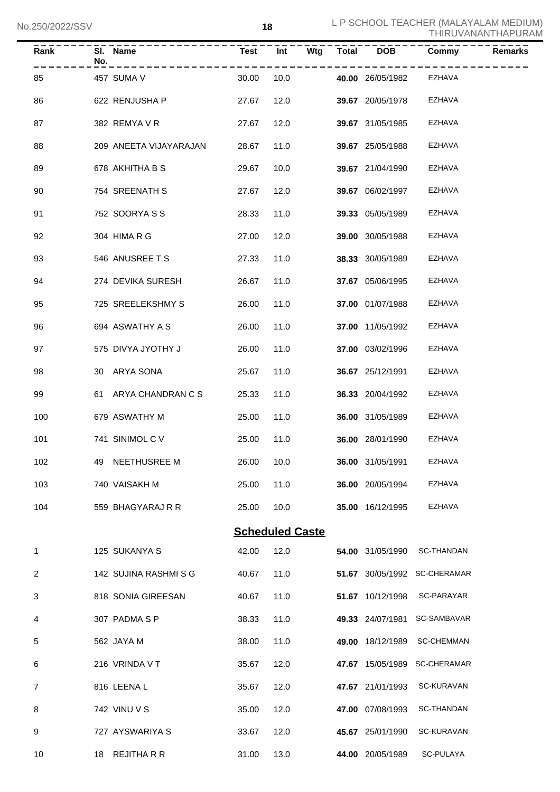| Rank | No. | SI. Name               | <b>Test</b>            | <b>Int</b> |  |                         | Commy                        | <b>Remarks</b> |
|------|-----|------------------------|------------------------|------------|--|-------------------------|------------------------------|----------------|
| 85   |     | 457 SUMA V             | 30.00                  | 10.0       |  | 40.00 26/05/1982 EZHAVA |                              |                |
| 86   |     | 622 RENJUSHA P         | 27.67                  | 12.0       |  | 39.67 20/05/1978        | EZHAVA                       |                |
| 87   |     | 382 REMYA V R          | 27.67                  | 12.0       |  | 39.67 31/05/1985        | EZHAVA                       |                |
| 88   |     | 209 ANEETA VIJAYARAJAN | 28.67                  | 11.0       |  | 39.67 25/05/1988        | EZHAVA                       |                |
| 89   |     | 678 AKHITHA B S        | 29.67                  | 10.0       |  | 39.67 21/04/1990        | EZHAVA                       |                |
| 90   |     | 754 SREENATH S         | 27.67                  | 12.0       |  | 39.67 06/02/1997        | EZHAVA                       |                |
| 91   |     | 752 SOORYA S S         | 28.33                  | 11.0       |  | 39.33 05/05/1989        | EZHAVA                       |                |
| 92   |     | 304 HIMA R G           | 27.00                  | 12.0       |  | 39.00 30/05/1988        | EZHAVA                       |                |
| 93   |     | 546 ANUSREE T S        | 27.33                  | 11.0       |  | 38.33 30/05/1989        | EZHAVA                       |                |
| 94   |     | 274 DEVIKA SURESH      | 26.67                  | 11.0       |  | 37.67 05/06/1995        | EZHAVA                       |                |
| 95   |     | 725 SREELEKSHMY S      | 26.00                  | 11.0       |  | 37.00 01/07/1988        | <b>EZHAVA</b>                |                |
| 96   |     | 694 ASWATHY A S        | 26.00                  | 11.0       |  | 37.00 11/05/1992        | EZHAVA                       |                |
| 97   |     | 575 DIVYA JYOTHY J     | 26.00                  | 11.0       |  | 37.00 03/02/1996        | EZHAVA                       |                |
| 98   |     | 30 ARYA SONA           | 25.67                  | 11.0       |  | <b>36.67</b> 25/12/1991 | EZHAVA                       |                |
| 99   |     | 61 ARYA CHANDRAN C S   | 25.33                  | 11.0       |  | 36.33 20/04/1992        | EZHAVA                       |                |
| 100  |     | 679 ASWATHY M          | 25.00                  | 11.0       |  | 36.00 31/05/1989        | <b>EZHAVA</b>                |                |
| 101  |     | 741 SINIMOL C V        | 25.00                  | 11.0       |  | 36.00 28/01/1990        | <b>EZHAVA</b>                |                |
| 102  |     | 49 NEETHUSREE M        | 26.00 10.0             |            |  | 36.00 31/05/1991        | <b>EZHAVA</b>                |                |
| 103  |     | 740 VAISAKH M          | 25.00                  | 11.0       |  | 36.00 20/05/1994        | <b>EZHAVA</b>                |                |
| 104  |     | 559 BHAGYARAJ R R      | 25.00                  | 10.0       |  | 35.00 16/12/1995        | <b>EZHAVA</b>                |                |
|      |     |                        | <b>Scheduled Caste</b> |            |  |                         |                              |                |
| 1    |     | 125 SUKANYA S          | 42.00                  | 12.0       |  | 54.00 31/05/1990        | <b>SC-THANDAN</b>            |                |
| 2    |     | 142 SUJINA RASHMI S G  | 40.67                  | 11.0       |  |                         | 51.67 30/05/1992 SC-CHERAMAR |                |
| 3    |     | 818 SONIA GIREESAN     | 40.67                  | 11.0       |  | 51.67 10/12/1998        | SC-PARAYAR                   |                |
| 4    |     | 307 PADMA S P          | 38.33                  | 11.0       |  | 49.33 24/07/1981        | SC-SAMBAVAR                  |                |
| 5    |     | 562 JAYA M             | 38.00                  | 11.0       |  | 49.00 18/12/1989        | <b>SC-CHEMMAN</b>            |                |
| 6    |     | 216 VRINDA V T         | 35.67                  | 12.0       |  | 47.67 15/05/1989        | <b>SC-CHERAMAR</b>           |                |
| 7    |     | 816 LEENA L            | 35.67                  | 12.0       |  | 47.67 21/01/1993        | SC-KURAVAN                   |                |
| 8    |     | 742 VINU V S           | 35.00                  | 12.0       |  | 47.00 07/08/1993        | <b>SC-THANDAN</b>            |                |
| 9    |     | 727 AYSWARIYA S        | 33.67                  | 12.0       |  | 45.67 25/01/1990        | SC-KURAVAN                   |                |
| 10   |     | 18 REJITHA R R         | 31.00                  | 13.0       |  | 44.00 20/05/1989        | SC-PULAYA                    |                |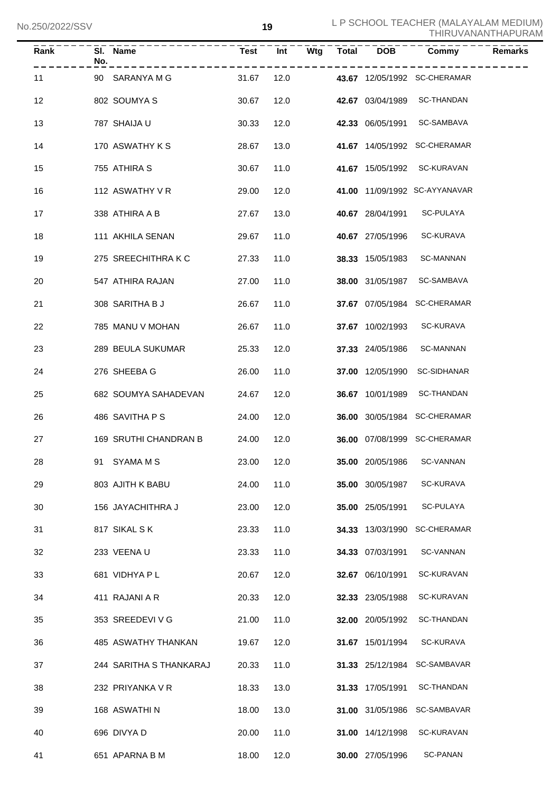| Rank | No. | SI. Name<br>البارين بن بن بن بن بن بن | <b>Test</b> | Int  |  | Wtg Total DOB           | Commy                         | <b>Remarks</b> |
|------|-----|---------------------------------------|-------------|------|--|-------------------------|-------------------------------|----------------|
| 11   |     | 90 SARANYA M G                        | 31.67       | 12.0 |  |                         | 43.67 12/05/1992 SC-CHERAMAR  |                |
| 12   |     | 802 SOUMYA S                          | 30.67       | 12.0 |  |                         | 42.67 03/04/1989 SC-THANDAN   |                |
| 13   |     | 787 SHAIJA U                          | 30.33       | 12.0 |  |                         | 42.33 06/05/1991 SC-SAMBAVA   |                |
| 14   |     | 170 ASWATHY K S                       | 28.67       | 13.0 |  |                         | 41.67 14/05/1992 SC-CHERAMAR  |                |
| 15   |     | 755 ATHIRA S                          | 30.67       | 11.0 |  |                         | 41.67 15/05/1992 SC-KURAVAN   |                |
| 16   |     | 112 ASWATHY V R                       | 29.00       | 12.0 |  |                         | 41.00 11/09/1992 SC-AYYANAVAR |                |
| 17   |     | 338 ATHIRA A B                        | 27.67       | 13.0 |  | 40.67 28/04/1991        | SC-PULAYA                     |                |
| 18   |     | 111 AKHILA SENAN                      | 29.67       | 11.0 |  | 40.67 27/05/1996        | SC-KURAVA                     |                |
| 19   |     | 275 SREECHITHRAKC                     | 27.33       | 11.0 |  | 38.33 15/05/1983        | <b>SC-MANNAN</b>              |                |
| 20   |     | 547 ATHIRA RAJAN                      | 27.00       | 11.0 |  | 38.00 31/05/1987        | SC-SAMBAVA                    |                |
| 21   |     | 308 SARITHA B J                       | 26.67       | 11.0 |  |                         | 37.67 07/05/1984 SC-CHERAMAR  |                |
| 22   |     | 785 MANU V MOHAN                      | 26.67       | 11.0 |  | 37.67 10/02/1993        | SC-KURAVA                     |                |
| 23   |     | 289 BEULA SUKUMAR                     | 25.33       | 12.0 |  | 37.33 24/05/1986        | <b>SC-MANNAN</b>              |                |
| 24   |     | 276 SHEEBA G                          | 26.00       | 11.0 |  | 37.00 12/05/1990        | SC-SIDHANAR                   |                |
| 25   |     | 682 SOUMYA SAHADEVAN                  | 24.67       | 12.0 |  |                         | 36.67 10/01/1989 SC-THANDAN   |                |
| 26   |     | 486 SAVITHA P S                       | 24.00       | 12.0 |  |                         | 36.00 30/05/1984 SC-CHERAMAR  |                |
| 27   |     | 169 SRUTHI CHANDRAN B                 | 24.00       | 12.0 |  |                         | 36.00 07/08/1999 SC-CHERAMAR  |                |
| 28   |     | 91 SYAMA M S                          | 23.00 12.0  |      |  |                         | 35.00 20/05/1986 SC-VANNAN    |                |
| 29   |     | 803 AJITH K BABU                      | 24.00       | 11.0 |  | 35.00 30/05/1987        | <b>SC-KURAVA</b>              |                |
| 30   |     | 156 JAYACHITHRA J                     | 23.00       | 12.0 |  | 35.00 25/05/1991        | SC-PULAYA                     |                |
| 31   |     | 817 SIKAL SK                          | 23.33       | 11.0 |  | 34.33 13/03/1990        | <b>SC-CHERAMAR</b>            |                |
| 32   |     | 233 VEENAU                            | 23.33       | 11.0 |  | 34.33 07/03/1991        | SC-VANNAN                     |                |
| 33   |     | 681 VIDHYA P L                        | 20.67       | 12.0 |  | 32.67 06/10/1991        | SC-KURAVAN                    |                |
| 34   |     | 411 RAJANI A R                        | 20.33       | 12.0 |  | 32.33 23/05/1988        | SC-KURAVAN                    |                |
| 35   |     | 353 SREEDEVI V G                      | 21.00       | 11.0 |  | 32.00 20/05/1992        | SC-THANDAN                    |                |
| 36   |     | 485 ASWATHY THANKAN                   | 19.67       | 12.0 |  | 31.67 15/01/1994        | SC-KURAVA                     |                |
| 37   |     | 244 SARITHA S THANKARAJ               | 20.33       | 11.0 |  | 31.33 25/12/1984        | SC-SAMBAVAR                   |                |
| 38   |     | 232 PRIYANKA V R                      | 18.33       | 13.0 |  | 31.33 17/05/1991        | SC-THANDAN                    |                |
| 39   |     | 168 ASWATHI N                         | 18.00       | 13.0 |  | <b>31.00</b> 31/05/1986 | SC-SAMBAVAR                   |                |
| 40   |     | 696 DIVYA D                           | 20.00       | 11.0 |  | 31.00 14/12/1998        | SC-KURAVAN                    |                |
| 41   |     | 651 APARNA B M                        | 18.00       | 12.0 |  | 30.00 27/05/1996        | <b>SC-PANAN</b>               |                |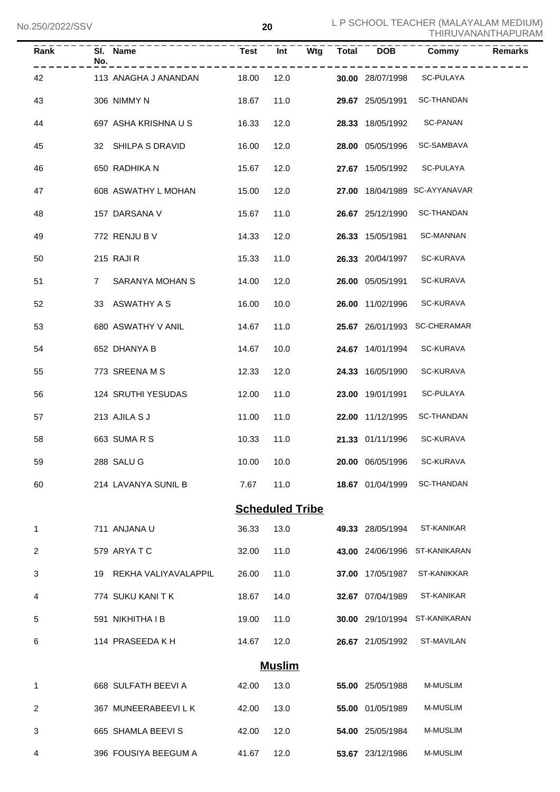| <b>Rank</b> | No.         | SI. Name                |            |                        |  |                  | Commy                         | <b>Remarks</b> |
|-------------|-------------|-------------------------|------------|------------------------|--|------------------|-------------------------------|----------------|
| 42          |             | 113 ANAGHA J ANANDAN    | 18.00      | 12.0                   |  | 30.00 28/07/1998 | ------<br>SC-PULAYA           |                |
| 43          |             | 306 NIMMY N             | 18.67      | 11.0                   |  | 29.67 25/05/1991 | <b>SC-THANDAN</b>             |                |
| 44          |             | 697 ASHA KRISHNA U S    | 16.33      | 12.0                   |  | 28.33 18/05/1992 | SC-PANAN                      |                |
| 45          |             | 32 SHILPA S DRAVID      | 16.00      | 12.0                   |  | 28.00 05/05/1996 | SC-SAMBAVA                    |                |
| 46          |             | 650 RADHIKA N           | 15.67      | 12.0                   |  | 27.67 15/05/1992 | SC-PULAYA                     |                |
| 47          |             | 608 ASWATHY L MOHAN     | 15.00      | 12.0                   |  |                  | 27.00 18/04/1989 SC-AYYANAVAR |                |
| 48          |             | 157 DARSANA V           | 15.67      | 11.0                   |  | 26.67 25/12/1990 | <b>SC-THANDAN</b>             |                |
| 49          |             | 772 RENJU B V           | 14.33      | 12.0                   |  | 26.33 15/05/1981 | <b>SC-MANNAN</b>              |                |
| 50          |             | 215 RAJI R              | 15.33      | 11.0                   |  | 26.33 20/04/1997 | <b>SC-KURAVA</b>              |                |
| 51          | $7^{\circ}$ | SARANYA MOHAN S         | 14.00      | 12.0                   |  | 26.00 05/05/1991 | <b>SC-KURAVA</b>              |                |
| 52          |             | 33 ASWATHY A S          | 16.00      | 10.0                   |  | 26.00 11/02/1996 | SC-KURAVA                     |                |
| 53          |             | 680 ASWATHY V ANIL      | 14.67      | 11.0                   |  |                  | 25.67 26/01/1993 SC-CHERAMAR  |                |
| 54          |             | 652 DHANYA B            | 14.67      | 10.0                   |  | 24.67 14/01/1994 | SC-KURAVA                     |                |
| 55          |             | 773 SREENAMS            | 12.33      | 12.0                   |  | 24.33 16/05/1990 | <b>SC-KURAVA</b>              |                |
| 56          |             | 124 SRUTHI YESUDAS      | 12.00      | 11.0                   |  | 23.00 19/01/1991 | SC-PULAYA                     |                |
| 57          |             | 213 AJILA S J           | 11.00      | 11.0                   |  | 22.00 11/12/1995 | <b>SC-THANDAN</b>             |                |
| 58          |             | 663 SUMARS              | 10.33      | 11.0                   |  | 21.33 01/11/1996 | SC-KURAVA                     |                |
| 59          |             | 288 SALU G              | 10.00 10.0 |                        |  |                  | 20.00 06/05/1996 SC-KURAVA    |                |
| 60          |             | 214 LAVANYA SUNIL B     | 7.67       | 11.0                   |  | 18.67 01/04/1999 | <b>SC-THANDAN</b>             |                |
|             |             |                         |            | <b>Scheduled Tribe</b> |  |                  |                               |                |
| 1           |             | 711 ANJANA U            | 36.33      | 13.0                   |  | 49.33 28/05/1994 | ST-KANIKAR                    |                |
| 2           |             | 579 ARYATC              | 32.00      | 11.0                   |  | 43.00 24/06/1996 | ST-KANIKARAN                  |                |
| 3           |             | 19 REKHA VALIYAVALAPPIL | 26.00      | 11.0                   |  | 37.00 17/05/1987 | ST-KANIKKAR                   |                |
| 4           |             | 774 SUKU KANI T K       | 18.67      | 14.0                   |  | 32.67 07/04/1989 | ST-KANIKAR                    |                |
| 5           |             | 591 NIKHITHA I B        | 19.00      | 11.0                   |  |                  | 30.00 29/10/1994 ST-KANIKARAN |                |
| 6           |             | 114 PRASEEDA K H        | 14.67      | 12.0                   |  | 26.67 21/05/1992 | ST-MAVILAN                    |                |
|             |             |                         |            | <b>Muslim</b>          |  |                  |                               |                |
| 1           |             | 668 SULFATH BEEVI A     | 42.00      | 13.0                   |  | 55.00 25/05/1988 | M-MUSLIM                      |                |
| 2           |             | 367 MUNEERABEEVILK      | 42.00      | 13.0                   |  | 55.00 01/05/1989 | M-MUSLIM                      |                |
| 3           |             | 665 SHAMLA BEEVIS       | 42.00      | 12.0                   |  | 54.00 25/05/1984 | M-MUSLIM                      |                |
| 4           |             | 396 FOUSIYA BEEGUM A    | 41.67      | 12.0                   |  | 53.67 23/12/1986 | M-MUSLIM                      |                |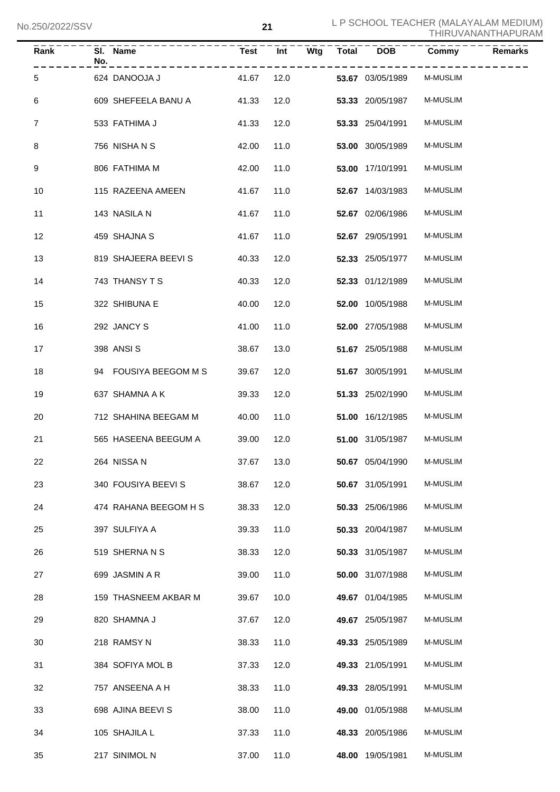| $\overline{Rank}$ | No. | SI. Name<br>_ _ _ _ _ _ _ _ _ _ _ | <b>Test</b> | Int  | <b>Wtg</b> | <b>Total</b> | <b>DOB</b>              | Commy           | <b>Remarks</b> |
|-------------------|-----|-----------------------------------|-------------|------|------------|--------------|-------------------------|-----------------|----------------|
| 5                 |     | 624 DANOOJA J                     | 41.67       | 12.0 |            |              | 53.67 03/05/1989        | M-MUSLIM        |                |
| 6                 |     | 609 SHEFEELA BANU A               | 41.33       | 12.0 |            |              | 53.33 20/05/1987        | M-MUSLIM        |                |
| $\overline{7}$    |     | 533 FATHIMA J                     | 41.33       | 12.0 |            |              | 53.33 25/04/1991        | <b>M-MUSLIM</b> |                |
| 8                 |     | 756 NISHA N S                     | 42.00       | 11.0 |            |              | 53.00 30/05/1989        | <b>M-MUSLIM</b> |                |
| 9                 |     | 806 FATHIMA M                     | 42.00       | 11.0 |            |              | 53.00 17/10/1991        | <b>M-MUSLIM</b> |                |
| 10                |     | 115 RAZEENA AMEEN                 | 41.67       | 11.0 |            |              | 52.67 14/03/1983        | M-MUSLIM        |                |
| 11                |     | 143 NASILA N                      | 41.67       | 11.0 |            |              | 52.67 02/06/1986        | M-MUSLIM        |                |
| 12                |     | 459 SHAJNA S                      | 41.67       | 11.0 |            |              | 52.67 29/05/1991        | <b>M-MUSLIM</b> |                |
| 13                |     | 819 SHAJEERA BEEVI S              | 40.33       | 12.0 |            |              | 52.33 25/05/1977        | <b>M-MUSLIM</b> |                |
| 14                |     | 743 THANSY T S                    | 40.33       | 12.0 |            |              | 52.33 01/12/1989        | <b>M-MUSLIM</b> |                |
| 15                |     | 322 SHIBUNA E                     | 40.00       | 12.0 |            |              | 52.00 10/05/1988        | <b>M-MUSLIM</b> |                |
| 16                |     | 292 JANCY S                       | 41.00       | 11.0 |            |              | 52.00 27/05/1988        | <b>M-MUSLIM</b> |                |
| 17                |     | 398 ANSI S                        | 38.67       | 13.0 |            |              | 51.67 25/05/1988        | <b>M-MUSLIM</b> |                |
| 18                |     | 94 FOUSIYA BEEGOM M S             | 39.67       | 12.0 |            |              | 51.67 30/05/1991        | <b>M-MUSLIM</b> |                |
| 19                |     | 637 SHAMNA A K                    | 39.33       | 12.0 |            |              | 51.33 25/02/1990        | <b>M-MUSLIM</b> |                |
| 20                |     | 712 SHAHINA BEEGAM M              | 40.00       | 11.0 |            |              | 51.00 16/12/1985        | M-MUSLIM        |                |
| 21                |     | 565 HASEENA BEEGUM A              | 39.00       | 12.0 |            |              | 51.00 31/05/1987        | <b>M-MUSLIM</b> |                |
| 22                |     | 264 NISSA N                       | 37.67 13.0  |      |            |              | <b>50.67</b> 05/04/1990 | M-MUSLIM        |                |
| 23                |     | 340 FOUSIYA BEEVI S               | 38.67       | 12.0 |            |              | 50.67 31/05/1991        | <b>M-MUSLIM</b> |                |
| 24                |     | 474 RAHANA BEEGOM H S             | 38.33       | 12.0 |            |              | 50.33 25/06/1986        | M-MUSLIM        |                |
| 25                |     | 397 SULFIYA A                     | 39.33       | 11.0 |            |              | 50.33 20/04/1987        | M-MUSLIM        |                |
| 26                |     | 519 SHERNANS                      | 38.33       | 12.0 |            |              | 50.33 31/05/1987        | M-MUSLIM        |                |
| 27                |     | 699 JASMIN A R                    | 39.00       | 11.0 |            |              | 50.00 31/07/1988        | M-MUSLIM        |                |
| 28                |     | 159 THASNEEM AKBAR M              | 39.67       | 10.0 |            |              | 49.67 01/04/1985        | M-MUSLIM        |                |
| 29                |     | 820 SHAMNA J                      | 37.67       | 12.0 |            |              | 49.67 25/05/1987        | M-MUSLIM        |                |
| 30                |     | 218 RAMSY N                       | 38.33       | 11.0 |            |              | 49.33 25/05/1989        | M-MUSLIM        |                |
| 31                |     | 384 SOFIYA MOL B                  | 37.33       | 12.0 |            |              | 49.33 21/05/1991        | M-MUSLIM        |                |
| 32                |     | 757 ANSEENA A H                   | 38.33       | 11.0 |            |              | 49.33 28/05/1991        | M-MUSLIM        |                |
| 33                |     | 698 AJINA BEEVI S                 | 38.00       | 11.0 |            |              | 49.00 01/05/1988        | M-MUSLIM        |                |
| 34                |     | 105 SHAJILA L                     | 37.33       | 11.0 |            |              | 48.33 20/05/1986        | M-MUSLIM        |                |
| 35                |     | 217 SINIMOL N                     | 37.00       | 11.0 |            |              | 48.00 19/05/1981        | M-MUSLIM        |                |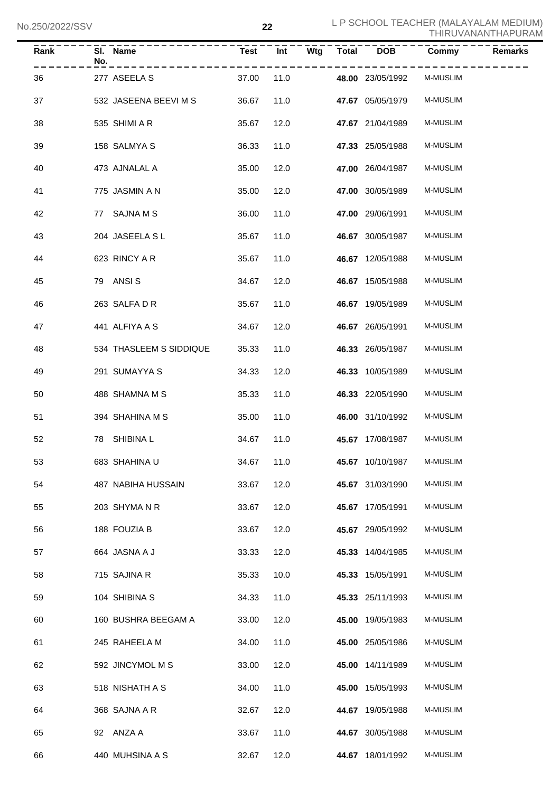| J.ZUU/ZUZZ/JJV |                         |             | LL         |       |                  | THIRUVANANTHAPURAM |                |  |
|----------------|-------------------------|-------------|------------|-------|------------------|--------------------|----------------|--|
| Rank           | SI. Name<br>No.         | <b>Test</b> | Int<br>Wtg | Total | <b>DOB</b>       | Commy              | <b>Remarks</b> |  |
| 36             | 277 ASEELA S            | 37.00       | 11.0       |       | 48.00 23/05/1992 | M-MUSLIM           |                |  |
| 37             | 532 JASEENA BEEVI M S   | 36.67       | 11.0       |       | 47.67 05/05/1979 | M-MUSLIM           |                |  |
| 38             | 535 SHIMI A R           | 35.67       | 12.0       |       | 47.67 21/04/1989 | M-MUSLIM           |                |  |
| 39             | 158 SALMYA S            | 36.33       | 11.0       |       | 47.33 25/05/1988 | M-MUSLIM           |                |  |
| 40             | 473 AJNALAL A           | 35.00       | 12.0       |       | 47.00 26/04/1987 | M-MUSLIM           |                |  |
| 41             | 775 JASMIN A N          | 35.00       | 12.0       |       | 47.00 30/05/1989 | M-MUSLIM           |                |  |
| 42             | 77 SAJNA M S            | 36.00       | 11.0       |       | 47.00 29/06/1991 | M-MUSLIM           |                |  |
| 43             | 204 JASEELA SL          | 35.67       | 11.0       |       | 46.67 30/05/1987 | M-MUSLIM           |                |  |
| 44             | 623 RINCY A R           | 35.67       | 11.0       |       | 46.67 12/05/1988 | M-MUSLIM           |                |  |
| 45             | 79 ANSIS                | 34.67       | 12.0       |       | 46.67 15/05/1988 | M-MUSLIM           |                |  |
| 46             | 263 SALFA D R           | 35.67       | 11.0       |       | 46.67 19/05/1989 | M-MUSLIM           |                |  |
| 47             | 441 ALFIYA A S          | 34.67       | 12.0       |       | 46.67 26/05/1991 | M-MUSLIM           |                |  |
| 48             | 534 THASLEEM S SIDDIQUE | 35.33       | 11.0       |       | 46.33 26/05/1987 | M-MUSLIM           |                |  |
| 49             | 291 SUMAYYA S           | 34.33       | 12.0       |       | 46.33 10/05/1989 | M-MUSLIM           |                |  |
| 50             | 488 SHAMNA M S          | 35.33       | 11.0       |       | 46.33 22/05/1990 | M-MUSLIM           |                |  |
| 51             | 394 SHAHINA M S         | 35.00       | 11.0       |       | 46.00 31/10/1992 | M-MUSLIM           |                |  |
| 52             | SHIBINA L<br>78         | 34.67       | 11.0       |       | 45.67 17/08/1987 | <b>M-MUSLIM</b>    |                |  |
| 53             | 683 SHAHINA U           | 34.67       | 11.0       |       | 45.67 10/10/1987 | M-MUSLIM           |                |  |
| 54             | 487 NABIHA HUSSAIN      | 33.67       | 12.0       |       | 45.67 31/03/1990 | M-MUSLIM           |                |  |
| 55             | 203 SHYMA N R           | 33.67       | 12.0       |       | 45.67 17/05/1991 | M-MUSLIM           |                |  |
| 56             | 188 FOUZIA B            | 33.67       | 12.0       |       | 45.67 29/05/1992 | M-MUSLIM           |                |  |
| 57             | 664 JASNA A J           | 33.33       | 12.0       |       | 45.33 14/04/1985 | M-MUSLIM           |                |  |
| 58             | 715 SAJINA R            | 35.33       | 10.0       |       | 45.33 15/05/1991 | M-MUSLIM           |                |  |
| 59             | 104 SHIBINA S           | 34.33       | 11.0       |       | 45.33 25/11/1993 | M-MUSLIM           |                |  |
| 60             | 160 BUSHRA BEEGAM A     | 33.00       | 12.0       |       | 45.00 19/05/1983 | M-MUSLIM           |                |  |
| 61             | 245 RAHEELA M           | 34.00       | 11.0       |       | 45.00 25/05/1986 | M-MUSLIM           |                |  |
| 62             | 592 JINCYMOL M S        | 33.00       | 12.0       |       | 45.00 14/11/1989 | M-MUSLIM           |                |  |
| 63             | 518 NISHATH A S         | 34.00       | 11.0       |       | 45.00 15/05/1993 | M-MUSLIM           |                |  |
| 64             | 368 SAJNA A R           | 32.67       | 12.0       |       | 44.67 19/05/1988 | M-MUSLIM           |                |  |
| 65             | 92 ANZA A               | 33.67       | 11.0       |       | 44.67 30/05/1988 | M-MUSLIM           |                |  |
| 66             | 440 MUHSINA A S         | 32.67       | 12.0       |       | 44.67 18/01/1992 | M-MUSLIM           |                |  |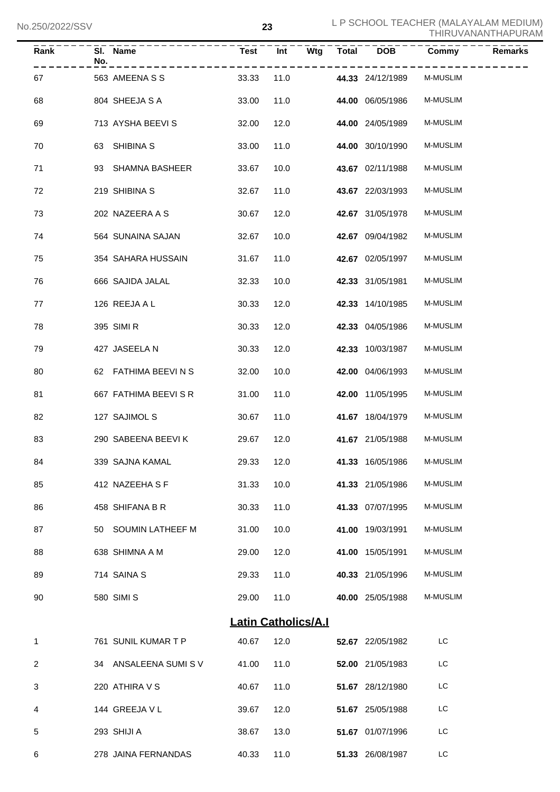| <b>Rank</b> | No. | SI. Name<br>--------- | <b>Test</b> | $\overline{Int}$<br>Wtg    | <b>Total</b> | <b>DOB</b>       | Commy           | <b>Remarks</b> |
|-------------|-----|-----------------------|-------------|----------------------------|--------------|------------------|-----------------|----------------|
| 67          |     | 563 AMEENA S S        | 33.33       | 11.0                       |              | 44.33 24/12/1989 | <b>M-MUSLIM</b> |                |
| 68          |     | 804 SHEEJA S A        | 33.00       | 11.0                       |              | 44.00 06/05/1986 | <b>M-MUSLIM</b> |                |
| 69          |     | 713 AYSHA BEEVI S     | 32.00       | 12.0                       |              | 44.00 24/05/1989 | <b>M-MUSLIM</b> |                |
| 70          |     | 63 SHIBINA S          | 33.00       | 11.0                       |              | 44.00 30/10/1990 | <b>M-MUSLIM</b> |                |
| 71          |     | 93 SHAMNA BASHEER     | 33.67       | 10.0                       |              | 43.67 02/11/1988 | <b>M-MUSLIM</b> |                |
| 72          |     | 219 SHIBINA S         | 32.67       | 11.0                       |              | 43.67 22/03/1993 | <b>M-MUSLIM</b> |                |
| 73          |     | 202 NAZEERA A S       | 30.67       | 12.0                       |              | 42.67 31/05/1978 | <b>M-MUSLIM</b> |                |
| 74          |     | 564 SUNAINA SAJAN     | 32.67       | 10.0                       |              | 42.67 09/04/1982 | <b>M-MUSLIM</b> |                |
| 75          |     | 354 SAHARA HUSSAIN    | 31.67       | 11.0                       |              | 42.67 02/05/1997 | <b>M-MUSLIM</b> |                |
| 76          |     | 666 SAJIDA JALAL      | 32.33       | 10.0                       |              | 42.33 31/05/1981 | <b>M-MUSLIM</b> |                |
| 77          |     | 126 REEJA A L         | 30.33       | 12.0                       |              | 42.33 14/10/1985 | <b>M-MUSLIM</b> |                |
| 78          |     | 395 SIMI R            | 30.33       | 12.0                       |              | 42.33 04/05/1986 | <b>M-MUSLIM</b> |                |
| 79          |     | 427 JASEELA N         | 30.33       | 12.0                       |              | 42.33 10/03/1987 | <b>M-MUSLIM</b> |                |
| 80          |     | 62 FATHIMA BEEVINS    | 32.00       | 10.0                       |              | 42.00 04/06/1993 | <b>M-MUSLIM</b> |                |
| 81          |     | 667 FATHIMA BEEVI S R | 31.00       | 11.0                       |              | 42.00 11/05/1995 | <b>M-MUSLIM</b> |                |
| 82          |     | 127 SAJIMOL S         | 30.67       | 11.0                       |              | 41.67 18/04/1979 | <b>M-MUSLIM</b> |                |
| 83          |     | 290 SABEENA BEEVIK    | 29.67       | 12.0                       |              | 41.67 21/05/1988 | <b>M-MUSLIM</b> |                |
| 84          |     | 339 SAJNA KAMAL       | 29.33 12.0  |                            |              | 41.33 16/05/1986 | M-MUSLIM        |                |
| 85          |     | 412 NAZEEHA S F       | 31.33       | 10.0                       |              | 41.33 21/05/1986 | <b>M-MUSLIM</b> |                |
| 86          |     | 458 SHIFANA B R       | 30.33       | 11.0                       |              | 41.33 07/07/1995 | <b>M-MUSLIM</b> |                |
| 87          |     | 50 SOUMIN LATHEEF M   | 31.00       | 10.0                       |              | 41.00 19/03/1991 | M-MUSLIM        |                |
| 88          |     | 638 SHIMNA A M        | 29.00       | 12.0                       |              | 41.00 15/05/1991 | M-MUSLIM        |                |
| 89          |     | 714 SAINA S           | 29.33       | 11.0                       |              | 40.33 21/05/1996 | M-MUSLIM        |                |
| 90          |     | 580 SIMI S            | 29.00       | 11.0                       |              | 40.00 25/05/1988 | <b>M-MUSLIM</b> |                |
|             |     |                       |             | <b>Latin Catholics/A.I</b> |              |                  |                 |                |
| 1           |     | 761 SUNIL KUMAR T P   | 40.67       | 12.0                       |              | 52.67 22/05/1982 | LC              |                |
| 2           |     | 34 ANSALEENA SUMISV   | 41.00       | 11.0                       |              | 52.00 21/05/1983 | LC              |                |
| 3           |     | 220 ATHIRA V S        | 40.67       | 11.0                       |              | 51.67 28/12/1980 | LC              |                |
| 4           |     | 144 GREEJA V L        | 39.67       | 12.0                       |              | 51.67 25/05/1988 | LC              |                |
| 5           |     | 293 SHIJI A           | 38.67       | 13.0                       |              | 51.67 01/07/1996 | LC              |                |
| 6           |     | 278 JAINA FERNANDAS   | 40.33       | 11.0                       |              | 51.33 26/08/1987 | LC              |                |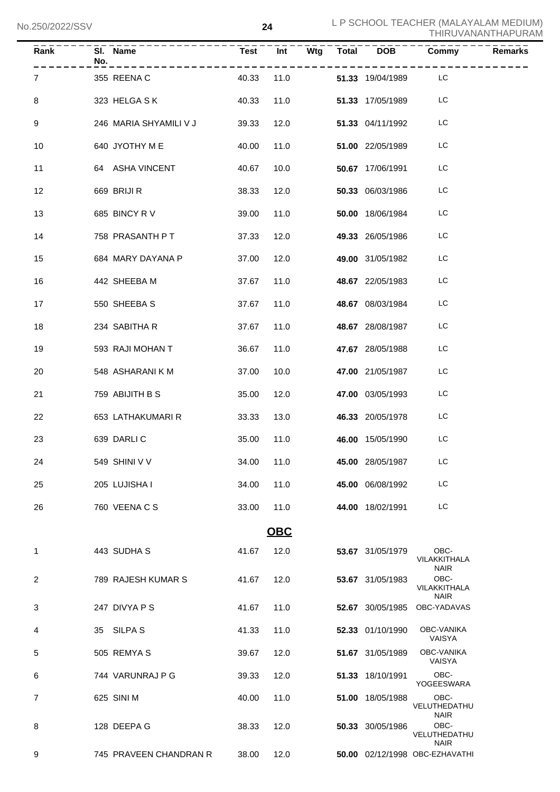| Rank           | $\overline{SI}$ . Name<br>No.<br>__________________ |       | .          |      | Test Int Wtg Total DOB         | <b>Commy</b><br>- - - - - - -       | <b>Remarks</b> |
|----------------|-----------------------------------------------------|-------|------------|------|--------------------------------|-------------------------------------|----------------|
| $\overline{7}$ | 40.33<br>355 REENA C                                |       |            | 11.0 | 51.33 19/04/1989 LC            |                                     |                |
| 8              | 323 HELGA SK                                        | 40.33 | 11.0       |      | 51.33 17/05/1989               | LC                                  |                |
| 9              | 246 MARIA SHYAMILI V J                              | 39.33 | 12.0       |      | 51.33 04/11/1992               | LC                                  |                |
| 10             | 640 JYOTHY M E                                      | 40.00 | 11.0       |      | 51.00 22/05/1989               | LC                                  |                |
| 11             | 64 ASHA VINCENT                                     | 40.67 | 10.0       |      | 50.67 17/06/1991               | LC                                  |                |
| 12             | 669 BRIJI R                                         | 38.33 | 12.0       |      | 50.33 06/03/1986               | LC                                  |                |
| 13             | 685 BINCY RV                                        | 39.00 | 11.0       |      | 50.00 18/06/1984               | LC                                  |                |
| 14             | 758 PRASANTH P T                                    | 37.33 | 12.0       |      | 49.33 26/05/1986               | LC                                  |                |
| 15             | 684 MARY DAYANA P                                   | 37.00 | 12.0       |      | 49.00 31/05/1982               | LC                                  |                |
| 16             | 442 SHEEBA M                                        | 37.67 | 11.0       |      | 48.67 22/05/1983               | LC                                  |                |
| 17             | 550 SHEEBA S                                        | 37.67 | 11.0       |      | 48.67 08/03/1984               | LC                                  |                |
| 18             | 234 SABITHA R                                       | 37.67 | 11.0       |      | 48.67 28/08/1987               | LC                                  |                |
| 19             | 593 RAJI MOHAN T                                    | 36.67 | 11.0       |      | 47.67 28/05/1988               | LC                                  |                |
| 20             | 548 ASHARANI K M                                    | 37.00 | 10.0       |      | <b>47.00</b> 21/05/1987        | LC                                  |                |
| 21             | 759 ABIJITH B S                                     | 35.00 | 12.0       |      | 47.00 03/05/1993               | LC                                  |                |
| 22             | 653 LATHAKUMARI R                                   | 33.33 | 13.0       |      | <b>46.33</b> 20/05/1978        | LC                                  |                |
| 23             | 639 DARLIC                                          | 35.00 | 11.0       |      | 46.00 15/05/1990               | LC                                  |                |
| 24             | 549 SHINI V V                                       |       |            |      | 34.00  11.0  45.00  28/05/1987 | LC                                  |                |
| 25             | 205 LUJISHA I                                       | 34.00 | 11.0       |      | 45.00 06/08/1992               | LC                                  |                |
| 26             | 760 VEENA C S                                       | 33.00 | 11.0       |      | 44.00 18/02/1991               | LC.                                 |                |
|                |                                                     |       | <b>OBC</b> |      |                                |                                     |                |
| 1              | 443 SUDHA S                                         | 41.67 | 12.0       |      | 53.67 31/05/1979               | OBC-<br>VILAKKITHALA<br><b>NAIR</b> |                |
| 2              | 789 RAJESH KUMAR S                                  | 41.67 | 12.0       |      | 53.67 31/05/1983               | OBC-<br>VILAKKITHALA<br><b>NAIR</b> |                |
| 3              | 247 DIVYA P S                                       | 41.67 | 11.0       |      | 52.67 30/05/1985               | OBC-YADAVAS                         |                |
| 4              | 35 SILPA S                                          | 41.33 | 11.0       |      | 52.33 01/10/1990               | <b>OBC-VANIKA</b><br>VAISYA         |                |
| 5              | 505 REMYAS                                          | 39.67 | 12.0       |      | 51.67 31/05/1989               | OBC-VANIKA<br>VAISYA                |                |
| 6              | 744 VARUNRAJ P G                                    | 39.33 | 12.0       |      | 51.33 18/10/1991               | OBC-<br>YOGEESWARA                  |                |
| 7              | 625 SINI M                                          | 40.00 | 11.0       |      | 51.00 18/05/1988               | OBC-<br>VELUTHEDATHU<br><b>NAIR</b> |                |
| 8              | 128 DEEPA G                                         | 38.33 | 12.0       |      | 50.33 30/05/1986               | OBC-<br>VELUTHEDATHU<br><b>NAIR</b> |                |
| 9              | 745 PRAVEEN CHANDRAN R                              | 38.00 | 12.0       |      |                                | 50.00 02/12/1998 OBC-EZHAVATHI      |                |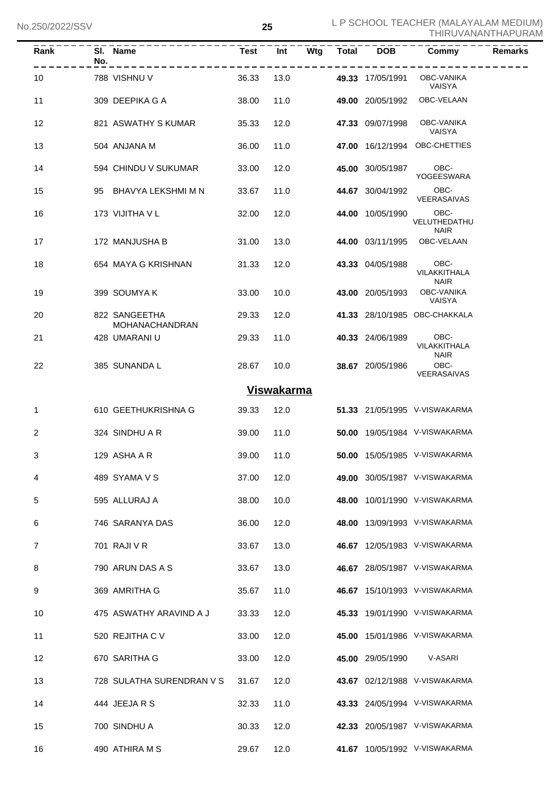| Rank    | No. | SI. Name                               | <b>Test</b> | Int               |      | Wtg Total | <b>DOB</b>            | Commy                               | <b>Remarks</b> |
|---------|-----|----------------------------------------|-------------|-------------------|------|-----------|-----------------------|-------------------------------------|----------------|
| 10      |     | 788 VISHNU V                           | 36.33       | 13.0              |      |           | 49.33 17/05/1991      | OBC-VANIKA<br>VAISYA                |                |
| 11      |     | 309 DEEPIKA G A                        | 38.00       | 11.0              |      |           | 49.00 20/05/1992      | OBC-VELAAN                          |                |
| $12 \,$ |     | 821 ASWATHY S KUMAR                    | 35.33       | 12.0              |      |           | 47.33 09/07/1998      | OBC-VANIKA<br>VAISYA                |                |
| 13      |     | 504 ANJANA M                           | 36.00       | 11.0              |      |           |                       | 47.00 16/12/1994 OBC-CHETTIES       |                |
| 14      |     | 594 CHINDU V SUKUMAR                   | 33.00       | 12.0              |      |           | 45.00 30/05/1987 OBC- | YOGEESWARA                          |                |
| 15      |     | 95 BHAVYA LEKSHMI M N                  | 33.67       | 11.0              |      |           | 44.67 30/04/1992      | OBC-<br>VEERASAIVAS                 |                |
| 16      |     | 173 VIJITHA V L                        | 32.00       | 12.0              |      |           | 44.00 10/05/1990      | OBC-<br>VELUTHEDATHU<br><b>NAIR</b> |                |
| 17      |     | 172 MANJUSHA B                         | 31.00       | 13.0              |      |           |                       | 44.00 03/11/1995 OBC-VELAAN         |                |
| 18      |     | 654 MAYA G KRISHNAN                    | 31.33       | 12.0              |      |           | 43.33 04/05/1988      | OBC-<br>VILAKKITHALA                |                |
| 19      |     | 399 SOUMYAK                            | 33.00       | 10.0              |      |           | 43.00 20/05/1993      | <b>NAIR</b><br>OBC-VANIKA<br>VAISYA |                |
| 20      |     | 822 SANGEETHA<br><b>MOHANACHANDRAN</b> | 29.33       | 12.0              |      |           |                       | 41.33 28/10/1985 OBC-CHAKKALA       |                |
| 21      |     | 428 UMARANI U                          | 29.33       | 11.0              |      |           | 40.33 24/06/1989      | OBC-<br>VILAKKITHALA<br><b>NAIR</b> |                |
| 22      |     | 385 SUNANDA L                          | 28.67       |                   | 10.0 |           | 38.67 20/05/1986      | OBC-<br>VEERASAIVAS                 |                |
|         |     |                                        |             | <b>Viswakarma</b> |      |           |                       |                                     |                |
| 1       |     | 610 GEETHUKRISHNA G                    | 39.33       |                   | 12.0 |           |                       | 51.33 21/05/1995 V-VISWAKARMA       |                |
| 2       |     | 324 SINDHU A R                         | 39.00       | 11.0              |      |           |                       | 50.00 19/05/1984 V-VISWAKARMA       |                |
| 3       |     | 129 ASHA A R                           | 39.00       | 11.0              |      |           |                       | 50.00 15/05/1985 V-VISWAKARMA       |                |
| 4       |     | 489 SYAMA V S                          | 37.00       | 12.0              |      |           |                       | 49.00 30/05/1987 V-VISWAKARMA       |                |
| 5       |     | 595 ALLURAJ A                          | 38.00       | 10.0              |      |           |                       | 48.00 10/01/1990 V-VISWAKARMA       |                |
| 6       |     | 746 SARANYA DAS                        | 36.00       | 12.0              |      |           |                       | 48.00 13/09/1993 V-VISWAKARMA       |                |
| 7       |     | 701 RAJI V R                           | 33.67       | 13.0              |      |           |                       | 46.67 12/05/1983 V-VISWAKARMA       |                |
| 8       |     | 790 ARUN DAS A S                       | 33.67       | 13.0              |      |           |                       | 46.67 28/05/1987 V-VISWAKARMA       |                |
| 9       |     | 369 AMRITHA G                          | 35.67       | 11.0              |      |           |                       | 46.67 15/10/1993 V-VISWAKARMA       |                |
| 10      |     | 475 ASWATHY ARAVIND A J                | 33.33       | 12.0              |      |           |                       | 45.33 19/01/1990 V-VISWAKARMA       |                |
| 11      |     | 520 REJITHA C V                        | 33.00       | 12.0              |      |           |                       | 45.00 15/01/1986 V-VISWAKARMA       |                |
| 12      |     | 670 SARITHA G                          | 33.00       | 12.0              |      |           | 45.00 29/05/1990      | V-ASARI                             |                |
| 13      |     | 728 SULATHA SURENDRAN V S              | 31.67       | 12.0              |      |           |                       | 43.67 02/12/1988 V-VISWAKARMA       |                |
| 14      |     | 444 JEEJARS                            | 32.33       | 11.0              |      |           |                       | 43.33 24/05/1994 V-VISWAKARMA       |                |
| 15      |     | 700 SINDHU A                           | 30.33       | 12.0              |      |           |                       | 42.33 20/05/1987 V-VISWAKARMA       |                |
| 16      |     | 490 ATHIRA M S                         | 29.67       | 12.0              |      |           |                       | 41.67 10/05/1992 V-VISWAKARMA       |                |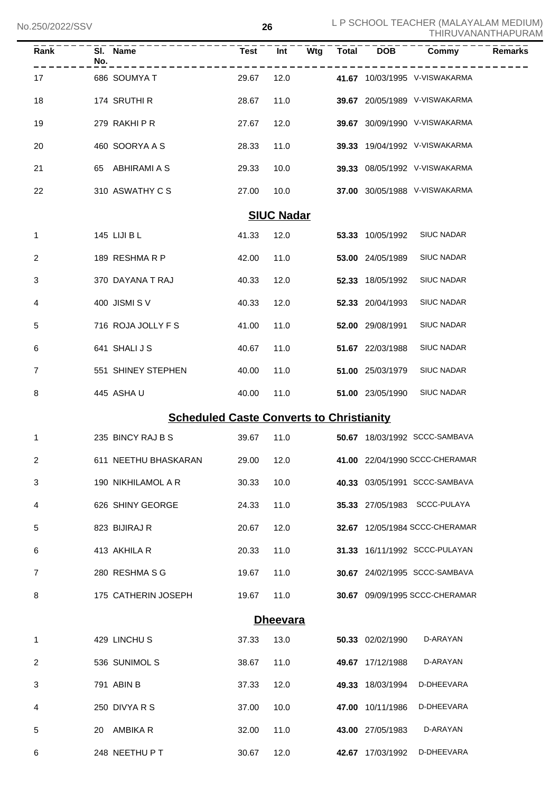| Rank              | SI. Name<br>No.                                 | <b>Test</b> | Int             | Wtg | Total | <b>DOB</b>       | Commy                          | <b>Remarks</b> |  |  |
|-------------------|-------------------------------------------------|-------------|-----------------|-----|-------|------------------|--------------------------------|----------------|--|--|
| 17                | 686 SOUMYA T                                    | 29.67       | 12.0            |     |       |                  | 41.67 10/03/1995 V-VISWAKARMA  |                |  |  |
| 18                | 174 SRUTHI R                                    | 28.67       | 11.0            |     |       |                  | 39.67 20/05/1989 V-VISWAKARMA  |                |  |  |
| 19                | 279 RAKHI P R                                   | 27.67       | 12.0            |     |       |                  | 39.67 30/09/1990 V-VISWAKARMA  |                |  |  |
| 20                | 460 SOORYA A S                                  | 28.33       | 11.0            |     |       |                  | 39.33 19/04/1992 V-VISWAKARMA  |                |  |  |
| 21                | 65 ABHIRAMI A S                                 | 29.33       | 10.0            |     |       |                  | 39.33 08/05/1992 V-VISWAKARMA  |                |  |  |
| 22                | 310 ASWATHY C S                                 | 27.00       | 10.0            |     |       |                  | 37.00 30/05/1988 V-VISWAKARMA  |                |  |  |
| <b>SIUC Nadar</b> |                                                 |             |                 |     |       |                  |                                |                |  |  |
| 1                 | 145 LIJI B L                                    | 41.33       | 12.0            |     |       | 53.33 10/05/1992 | <b>SIUC NADAR</b>              |                |  |  |
| $\overline{2}$    | 189 RESHMARP                                    | 42.00       | 11.0            |     |       | 53.00 24/05/1989 | <b>SIUC NADAR</b>              |                |  |  |
| 3                 | 370 DAYANA T RAJ                                | 40.33       | 12.0            |     |       | 52.33 18/05/1992 | <b>SIUC NADAR</b>              |                |  |  |
| 4                 | 400 JISMI SV                                    | 40.33       | 12.0            |     |       | 52.33 20/04/1993 | <b>SIUC NADAR</b>              |                |  |  |
| 5                 | 716 ROJA JOLLY F S                              | 41.00       | 11.0            |     |       | 52.00 29/08/1991 | <b>SIUC NADAR</b>              |                |  |  |
| 6                 | 641 SHALIJS                                     | 40.67       | 11.0            |     |       | 51.67 22/03/1988 | <b>SIUC NADAR</b>              |                |  |  |
| 7                 | 551 SHINEY STEPHEN                              | 40.00       | 11.0            |     |       | 51.00 25/03/1979 | <b>SIUC NADAR</b>              |                |  |  |
| 8                 | 445 ASHAU                                       | 40.00       | 11.0            |     |       | 51.00 23/05/1990 | <b>SIUC NADAR</b>              |                |  |  |
|                   | <b>Scheduled Caste Converts to Christianity</b> |             |                 |     |       |                  |                                |                |  |  |
| 1                 | 235 BINCY RAJ B S                               | 39.67       | 11.0            |     |       |                  | 50.67 18/03/1992 SCCC-SAMBAVA  |                |  |  |
| 2                 | 611 NEETHU BHASKARAN                            | 29.00 12.0  |                 |     |       |                  | 41.00 22/04/1990 SCCC-CHERAMAR |                |  |  |
| 3                 | 190 NIKHILAMOL A R                              | 30.33       | 10.0            |     |       |                  | 40.33 03/05/1991 SCCC-SAMBAVA  |                |  |  |
| 4                 | 626 SHINY GEORGE                                | 24.33       | 11.0            |     |       |                  | 35.33 27/05/1983 SCCC-PULAYA   |                |  |  |
| 5                 | 823 BIJIRAJ R                                   | 20.67       | 12.0            |     |       |                  | 32.67 12/05/1984 SCCC-CHERAMAR |                |  |  |
| 6                 | 413 AKHILA R                                    | 20.33       | 11.0            |     |       |                  | 31.33 16/11/1992 SCCC-PULAYAN  |                |  |  |
| 7                 | 280 RESHMA S G                                  | 19.67       | 11.0            |     |       |                  | 30.67 24/02/1995 SCCC-SAMBAVA  |                |  |  |
| 8                 | 175 CATHERIN JOSEPH                             | 19.67       | 11.0            |     |       |                  | 30.67 09/09/1995 SCCC-CHERAMAR |                |  |  |
|                   |                                                 |             | <b>Dheevara</b> |     |       |                  |                                |                |  |  |
| 1                 | 429 LINCHUS                                     | 37.33       | 13.0            |     |       | 50.33 02/02/1990 | D-ARAYAN                       |                |  |  |
| 2                 | 536 SUNIMOL S                                   | 38.67       | 11.0            |     |       | 49.67 17/12/1988 | D-ARAYAN                       |                |  |  |
| 3                 | 791 ABIN B                                      | 37.33       | 12.0            |     |       | 49.33 18/03/1994 | D-DHEEVARA                     |                |  |  |
| 4                 | 250 DIVYA R S                                   | 37.00       | 10.0            |     |       | 47.00 10/11/1986 | D-DHEEVARA                     |                |  |  |
| 5                 | 20 AMBIKA R                                     | 32.00       | 11.0            |     |       | 43.00 27/05/1983 | D-ARAYAN                       |                |  |  |
| 6                 | 248 NEETHU P T                                  | 30.67       | 12.0            |     |       | 42.67 17/03/1992 | D-DHEEVARA                     |                |  |  |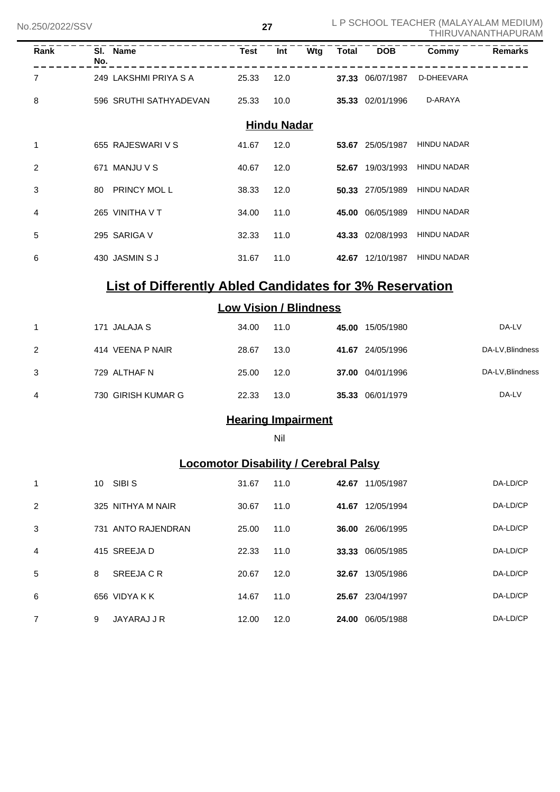| Rank        | No. | SI. Name               | <b>Test</b> | Int                | Wtg | Total | <b>DOB</b>       | Commy              | Remarks |
|-------------|-----|------------------------|-------------|--------------------|-----|-------|------------------|--------------------|---------|
| 7           |     | 249 LAKSHMI PRIYA S A  | 25.33       | 12.0               |     |       | 37.33 06/07/1987 | D-DHEEVARA         |         |
| 8           |     | 596 SRUTHI SATHYADEVAN | 25.33       | 10.0               |     |       | 35.33 02/01/1996 | D-ARAYA            |         |
|             |     |                        |             | <b>Hindu Nadar</b> |     |       |                  |                    |         |
| $\mathbf 1$ |     | 655 RAJESWARI V S      | 41.67       | 12.0               |     |       | 53.67 25/05/1987 | <b>HINDU NADAR</b> |         |
| 2           |     | 671 MANJU V S          | 40.67       | 12.0               |     |       | 52.67 19/03/1993 | <b>HINDU NADAR</b> |         |
| 3           | 80  | <b>PRINCY MOL L</b>    | 38.33       | 12.0               |     |       | 50.33 27/05/1989 | <b>HINDU NADAR</b> |         |
| 4           |     | 265 VINITHA V T        | 34.00       | 11.0               |     |       | 45.00 06/05/1989 | <b>HINDU NADAR</b> |         |
| 5           |     | 295 SARIGA V           | 32.33       | 11.0               |     |       | 43.33 02/08/1993 | <b>HINDU NADAR</b> |         |
| 6           |     | 430 JASMIN S J         | 31.67       | 11.0               |     |       | 42.67 12/10/1987 | <b>HINDU NADAR</b> |         |
|             |     |                        |             |                    |     |       |                  |                    |         |

# **List of Differently Abled Candidates for 3% Reservation**

### **Low Vision / Blindness**

|   | 171 JALAJA S       | 34.00 | 11.0 | 45.00 | 15/05/1980       | DA-LV            |
|---|--------------------|-------|------|-------|------------------|------------------|
| 2 | 414 VEENA P NAIR   | 28.67 | 13.0 |       | 41.67 24/05/1996 | DA-LV, Blindness |
| 3 | 729 ALTHAF N       | 25.00 | 12.0 |       | 37.00 04/01/1996 | DA-LV, Blindness |
| 4 | 730 GIRISH KUMAR G | 22.33 | 13.0 |       | 35.33 06/01/1979 | DA-LV            |

# **Hearing Impairment**

Nil

# **Locomotor Disability / Cerebral Palsy**

| 1 | 10 | SIBI S             | 31.67 | 11.0 | 42.67 | 11/05/1987 | DA-LD/CP |
|---|----|--------------------|-------|------|-------|------------|----------|
| 2 |    | 325 NITHYA M NAIR  | 30.67 | 11.0 | 41.67 | 12/05/1994 | DA-LD/CP |
| 3 |    | 731 ANTO RAJENDRAN | 25.00 | 11.0 | 36.00 | 26/06/1995 | DA-LD/CP |
| 4 |    | 415 SREEJA D       | 22.33 | 11.0 | 33.33 | 06/05/1985 | DA-LD/CP |
| 5 | 8  | SREEJA C R         | 20.67 | 12.0 | 32.67 | 13/05/1986 | DA-LD/CP |
| 6 |    | 656 VIDYA K K      | 14.67 | 11.0 | 25.67 | 23/04/1997 | DA-LD/CP |
| 7 | 9  | JAYARAJ J R        | 12.00 | 12.0 | 24.00 | 06/05/1988 | DA-LD/CP |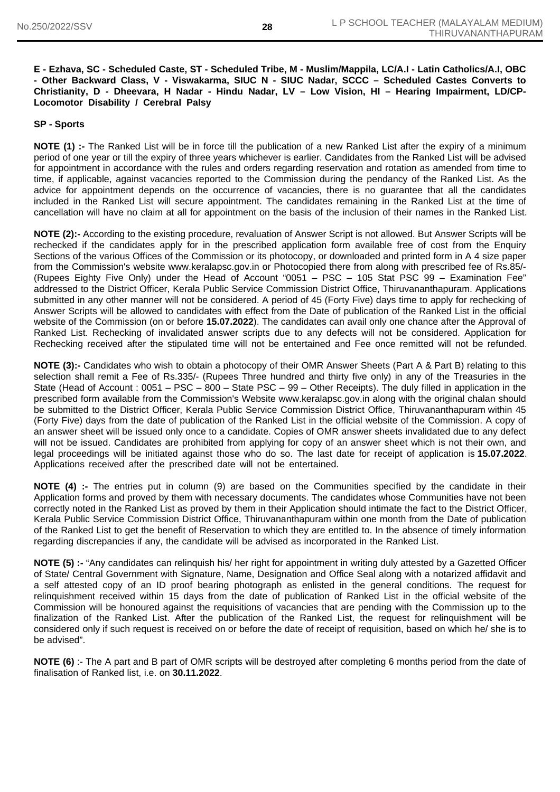#### **E - Ezhava, SC - Scheduled Caste, ST - Scheduled Tribe, M - Muslim/Mappila, LC/A.I - Latin Catholics/A.I, OBC - Other Backward Class, V - Viswakarma, SIUC N - SIUC Nadar, SCCC – Scheduled Castes Converts to Christianity, D - Dheevara, H Nadar - Hindu Nadar, LV – Low Vision, HI – Hearing Impairment, LD/CP-Locomotor Disability / Cerebral Palsy**

#### **SP - Sports**

**NOTE (1) :-** The Ranked List will be in force till the publication of a new Ranked List after the expiry of a minimum period of one year or till the expiry of three years whichever is earlier. Candidates from the Ranked List will be advised for appointment in accordance with the rules and orders regarding reservation and rotation as amended from time to time, if applicable, against vacancies reported to the Commission during the pendancy of the Ranked List. As the advice for appointment depends on the occurrence of vacancies, there is no guarantee that all the candidates included in the Ranked List will secure appointment. The candidates remaining in the Ranked List at the time of cancellation will have no claim at all for appointment on the basis of the inclusion of their names in the Ranked List.

**NOTE (2):-** According to the existing procedure, revaluation of Answer Script is not allowed. But Answer Scripts will be rechecked if the candidates apply for in the prescribed application form available free of cost from the Enquiry Sections of the various Offices of the Commission or its photocopy, or downloaded and printed form in A 4 size paper from the Commission's website www.keralapsc.gov.in or Photocopied there from along with prescribed fee of Rs.85/- (Rupees Eighty Five Only) under the Head of Account "0051 – PSC – 105 Stat PSC 99 – Examination Fee" addressed to the District Officer, Kerala Public Service Commission District Office, Thiruvananthapuram. Applications submitted in any other manner will not be considered. A period of 45 (Forty Five) days time to apply for rechecking of Answer Scripts will be allowed to candidates with effect from the Date of publication of the Ranked List in the official website of the Commission (on or before **15.07.2022**). The candidates can avail only one chance after the Approval of Ranked List. Rechecking of invalidated answer scripts due to any defects will not be considered. Application for Rechecking received after the stipulated time will not be entertained and Fee once remitted will not be refunded.

**NOTE (3):-** Candidates who wish to obtain a photocopy of their OMR Answer Sheets (Part A & Part B) relating to this selection shall remit a Fee of Rs.335/- (Rupees Three hundred and thirty five only) in any of the Treasuries in the State (Head of Account : 0051 – PSC – 800 – State PSC – 99 – Other Receipts). The duly filled in application in the prescribed form available from the Commission's Website www.keralapsc.gov.in along with the original chalan should be submitted to the District Officer, Kerala Public Service Commission District Office, Thiruvananthapuram within 45 (Forty Five) days from the date of publication of the Ranked List in the official website of the Commission. A copy of an answer sheet will be issued only once to a candidate. Copies of OMR answer sheets invalidated due to any defect will not be issued. Candidates are prohibited from applying for copy of an answer sheet which is not their own, and legal proceedings will be initiated against those who do so. The last date for receipt of application is **15.07.2022**. Applications received after the prescribed date will not be entertained.

**NOTE (4)** :- The entries put in column (9) are based on the Communities specified by the candidate in their Application forms and proved by them with necessary documents. The candidates whose Communities have not been correctly noted in the Ranked List as proved by them in their Application should intimate the fact to the District Officer, Kerala Public Service Commission District Office, Thiruvananthapuram within one month from the Date of publication of the Ranked List to get the benefit of Reservation to which they are entitled to. In the absence of timely information regarding discrepancies if any, the candidate will be advised as incorporated in the Ranked List.

**NOTE (5) :-** "Any candidates can relinquish his/ her right for appointment in writing duly attested by a Gazetted Officer of State/ Central Government with Signature, Name, Designation and Office Seal along with a notarized affidavit and a self attested copy of an ID proof bearing photograph as enlisted in the general conditions. The request for relinquishment received within 15 days from the date of publication of Ranked List in the official website of the Commission will be honoured against the requisitions of vacancies that are pending with the Commission up to the finalization of the Ranked List. After the publication of the Ranked List, the request for relinquishment will be considered only if such request is received on or before the date of receipt of requisition, based on which he/ she is to be advised".

**NOTE (6)** :- The A part and B part of OMR scripts will be destroyed after completing 6 months period from the date of finalisation of Ranked list, i.e. on **30.11.2022**.